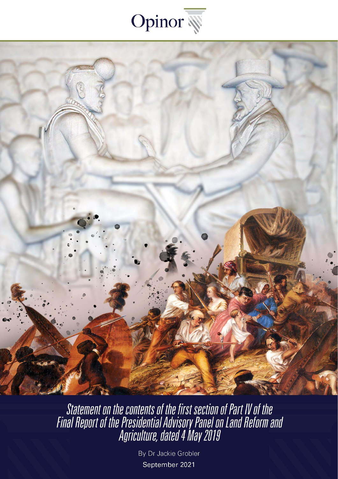



Statement on the contents of the first section of Part IV of the<br>Final Report of the Presidential Advisory Panel on Land Reform and<br>Agriculture, dated 4 May 2019

By Dr Jackie Grobler September 2021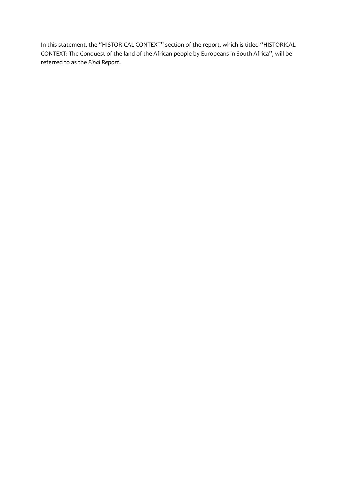In this statement, the "HISTORICAL CONTEXT" section of the report, which is titled "HISTORICAL CONTEXT: The Conquest of the land of the African people by Europeans in South Africa", will be referred to as the *Final Report*.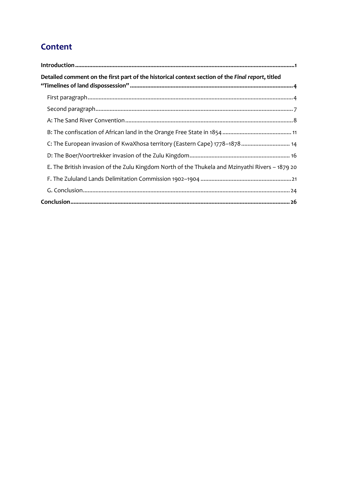## **Content**

| Detailed comment on the first part of the historical context section of the Final report, titled |
|--------------------------------------------------------------------------------------------------|
|                                                                                                  |
|                                                                                                  |
|                                                                                                  |
|                                                                                                  |
| C: The European invasion of KwaXhosa territory (Eastern Cape) 1778-1878 14                       |
|                                                                                                  |
| E. The British invasion of the Zulu Kingdom North of the Thukela and Mzinyathi Rivers - 1879 20  |
|                                                                                                  |
|                                                                                                  |
|                                                                                                  |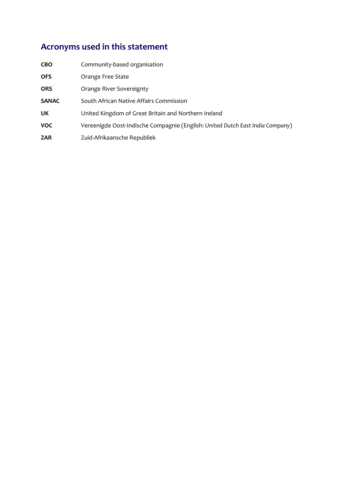# **Acronyms used in this statement**

| <b>CBO</b>   | Community-based organisation                                                  |
|--------------|-------------------------------------------------------------------------------|
| <b>OFS</b>   | Orange Free State                                                             |
| <b>ORS</b>   | Orange River Sovereignty                                                      |
| <b>SANAC</b> | South African Native Affairs Commission                                       |
| UK           | United Kingdom of Great Britain and Northern Ireland                          |
| <b>VOC</b>   | Vereenigde Oost-Indische Compagnie (English: United Dutch East India Company) |
| <b>ZAR</b>   | Zuid-Afrikaansche Republiek                                                   |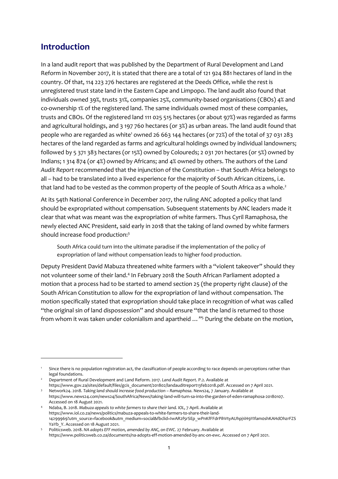## <span id="page-4-0"></span>**Introduction**

In a land audit report that was published by the Department of Rural Development and Land Reform in November 2017, it is stated that there are a total of 121 924 881 hectares of land in the country. Of that, 114 223 276 hectares are registered at the Deeds Office, while the rest is unregistered trust state land in the Eastern Cape and Limpopo. The land audit also found that individuals owned 39%, trusts 31%, companies 25%, community-based organisations (CBOs) 4% and co-ownership 1% of the registered land. The same individuals owned most of these companies, trusts and CBOs. Of the registered land 111 025 515 hectares (or about 97%) was regarded as farms and agricultural holdings, and 3 197 760 hectares (or 3%) as urban areas. The land audit found that people who are regarded as white<sup>1</sup> owned 26 663 144 hectares (or 72%) of the total of 37 031 283 hectares of the land regarded as farms and agricultural holdings owned by individual landowners; followed by 5 371 383 hectares (or 15%) owned by Coloureds; 2 031 701 hectares (or 5%) owned by Indians; 1 314 874 (or 4%) owned by Africans; and 4% owned by others. The authors of the *Land Audit Report* recommended that the injunction of the Constitution – that South Africa belongs to all – had to be translated into a lived experience for the majority of South African citizens, i.e. that land had to be vested as the common property of the people of South Africa as a whole.<sup>2</sup>

At its 54th National Conference in December 2017, the ruling ANC adopted a policy that land should be expropriated without compensation. Subsequent statements by ANC leaders made it clear that what was meant was the expropriation of white farmers. Thus Cyril Ramaphosa, the newly elected ANC President, said early in 2018 that the taking of land owned by white farmers should increase food production:<sup>3</sup>

South Africa could turn into the ultimate paradise if the implementation of the policy of expropriation of land without compensation leads to higher food production.

Deputy President David Mabuza threatened white farmers with a "violent takeover" should they not volunteer some of their land.<sup>4</sup> In February 2018 the South African Parliament adopted a motion that a process had to be started to amend section 25 (the property right clause) of the South African Constitution to allow for the expropriation of land without compensation. The motion specifically stated that expropriation should take place in recognition of what was called "the original sin of land dispossession" and should ensure "that the land is returned to those from whom it was taken under colonialism and apartheid ..."<sup>5</sup> During the debate on the motion,

<sup>1</sup> Since there is no population registration act, the classification of people according to race depends on perceptions rather than legal foundations.

<sup>2</sup> Department of Rural Development and Land Reform. 2017. *Land Audit Report*. P.2. Available at

[https://www.gov.za/sites/default/files/gcis\\_document/201802/landauditreport13feb2018.pdf.](https://www.gov.za/sites/default/files/gcis_document/201802/landauditreport13feb2018.pdf) Accessed on 7 April 2021.

<sup>&</sup>lt;sup>3</sup> Network24. 2018. Taking land should increase food production – Ramaphosa. News24, 7 January. Available at [https://www.news24.com/news24/SouthAfrica/News/taking-land-will-turn-sa-into-the-garden-of-eden-ramaphosa-20180107.](https://www.news24.com/news24/SouthAfrica/News/taking-land-will-turn-sa-into-the-garden-of-eden-ramaphosa-20180107)  Accessed on 18 August 2021.

<sup>4</sup> Ndaba, B. 2018. *Mabuza appeals to white farmers to share their land. IOL*, 7 April. Available at [https://www.iol.co.za/news/politics/mabuza-appeals-to-white-farmers-to-share-their-land-](https://www.iol.co.za/news/politics/mabuza-appeals-to-white-farmers-to-share-their-land-14299969?utm_source=facebook&utm_medium=social&fbclid=IwAR2f5rSEp_wPnKfFFdrPihVtyAUhpj1iH9YIfam0shKAHdOhzrFZSYaYb_Y)[14299969?utm\\_source=facebook&utm\\_medium=social&fbclid=IwAR2f5rSEp\\_wPnKfFFdrPihVtyAUhpj1iH9YIfam0shKAHdOhzrFZS](https://www.iol.co.za/news/politics/mabuza-appeals-to-white-farmers-to-share-their-land-14299969?utm_source=facebook&utm_medium=social&fbclid=IwAR2f5rSEp_wPnKfFFdrPihVtyAUhpj1iH9YIfam0shKAHdOhzrFZSYaYb_Y) YaYb Y. Accessed on 18 August 2021.

<sup>&</sup>lt;sup>5</sup> Politicsweb. 2018. NA adopts EFF motion, amended by ANC, on EWC. 27 February. Available at [https://www.politicsweb.co.za/documents/na-adopts-eff-motion-amended-by-anc-on-ewc.](https://www.politicsweb.co.za/documents/na-adopts-eff-motion-amended-by-anc-on-ewc) Accessed on 7 April 2021.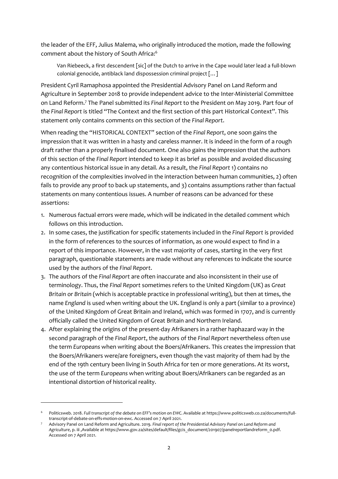the leader of the EFF, Julius Malema, who originally introduced the motion, made the following comment about the history of South Africa:<sup>6</sup>

Van Riebeeck, a first descendent [sic] of the Dutch to arrive in the Cape would later lead a full-blown colonial genocide, antiblack land dispossession criminal project […]

President Cyril Ramaphosa appointed the Presidential Advisory Panel on Land Reform and Agriculture in September 2018 to provide independent advice to the Inter-Ministerial Committee on Land Reform.<sup>7</sup> The Panel submitted its *Final Report* to the President on May 2019. Part four of the *Final Report* is titled "The Context and the first section of this part Historical Context". This statement only contains comments on this section of the *Final Report*.

When reading the "HISTORICAL CONTEXT" section of the *Final Report*, one soon gains the impression that it was written in a hasty and careless manner. It is indeed in the form of a rough draft rather than a properly finalised document. One also gains the impression that the authors of this section of the *Final Report* intended to keep it as brief as possible and avoided discussing any contentious historical issue in any detail. As a result, the *Final Report* 1) contains no recognition of the complexities involved in the interaction between human communities, 2) often fails to provide any proof to back up statements, and 3) contains assumptions rather than factual statements on many contentious issues. A number of reasons can be advanced for these assertions:

- 1. Numerous factual errors were made, which will be indicated in the detailed comment which follows on this introduction.
- 2. In some cases, the justification for specific statements included in the *Final Report* is provided in the form of references to the sources of information, as one would expect to find in a report of this importance. However, in the vast majority of cases, starting in the very first paragraph, questionable statements are made without any references to indicate the source used by the authors of the *Final Report*.
- 3. The authors of the *Final Report* are often inaccurate and also inconsistent in their use of terminology. Thus, the *Final Report* sometimes refers to the United Kingdom (UK) as *Great Britain* or *Britain* (which is acceptable practice in professional writing), but then at times, the name *England* is used when writing about the UK. England is only a part (similar to a province) of the United Kingdom of Great Britain and Ireland, which was formed in 1707, and is currently officially called the United Kingdom of Great Britain and Northern Ireland.
- 4. After explaining the origins of the present-day Afrikaners in a rather haphazard way in the second paragraph of the *Final Report*, the authors of the *Final Report* nevertheless often use the term *Europeans* when writing about the Boers/Afrikaners. This creates the impression that the Boers/Afrikaners were/are foreigners, even though the vast majority of them had by the end of the 19th century been living in South Africa for ten or more generations. At its worst, the use of the term *Europeans* when writing about Boers/Afrikaners can be regarded as an intentional distortion of historical reality.

<sup>6</sup> Politicsweb. 2018. *Full transcript of the debate on EFF's motion on EWC*. Available a[t https://www.politicsweb.co.za/documents/full](https://www.politicsweb.co.za/documents/full-transcript-of-debate-on-effs-motion-on-ewc)[transcript-of-debate-on-effs-motion-on-ewc.](https://www.politicsweb.co.za/documents/full-transcript-of-debate-on-effs-motion-on-ewc) Accessed on 7 April 2021.

<sup>7</sup> Advisory Panel on Land Reform and Agriculture. 2019. *Final report of the Presidential Advisory Panel on Land Reform and Agriculture*, p. iii ,Available a[t https://www.gov.za/sites/default/files/gcis\\_document/201907/panelreportlandreform\\_0.pdf.](https://www.gov.za/sites/default/files/gcis_document/201907/panelreportlandreform_0.pdf) Accessed on 7 April 2021.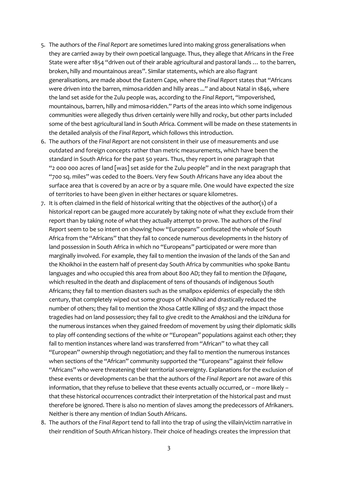- 5. The authors of the *Final Report* are sometimes lured into making gross generalisations when they are carried away by their own poetical language. Thus, they allege that Africans in the Free State were after 1854 "driven out of their arable agricultural and pastoral lands … to the barren, broken, hilly and mountainous areas". Similar statements, which are also flagrant generalisations, are made about the Eastern Cape, where the *Final Report* states that "Africans were driven into the barren, mimosa-ridden and hilly areas ..." and about Natal in 1846, where the land set aside for the Zulu people was, according to the *Final Report*, "impoverished, mountainous, barren, hilly and mimosa-ridden." Parts of the areas into which some indigenous communities were allegedly thus driven certainly were hilly and rocky, but other parts included some of the best agricultural land in South Africa. Comment will be made on these statements in the detailed analysis of the *Final Report,* which follows this introduction.
- 6. The authors of the *Final Report* are not consistent in their use of measurements and use outdated and foreign concepts rather than metric measurements, which have been the standard in South Africa for the past 50 years. Thus, they report in one paragraph that "2 000 000 acres of land [was] set aside for the Zulu people" and in the next paragraph that "700 sq. miles" was ceded to the Boers. Very few South Africans have any idea about the surface area that is covered by an acre or by a square mile. One would have expected the size of territories to have been given in either hectares or square kilometres.
- 7. It is often claimed in the field of historical writing that the objectives of the author(s) of a historical report can be gauged more accurately by taking note of what they exclude from their report than by taking note of what they actually attempt to prove. The authors of the *Final Report* seem to be so intent on showing how "Europeans" confiscated the whole of South Africa from the "Africans" that they fail to concede numerous developments in the history of land possession in South Africa in which no "Europeans" participated or were more than marginally involved. For example, they fail to mention the invasion of the lands of the San and the Khoikhoi in the eastern half of present-day South Africa by communities who spoke Bantu languages and who occupied this area from about 800 AD; they fail to mention the *Difaqane*, which resulted in the death and displacement of tens of thousands of indigenous South Africans; they fail to mention disasters such as the smallpox epidemics of especially the 18th century, that completely wiped out some groups of Khoikhoi and drastically reduced the number of others; they fail to mention the Xhosa Cattle Killing of 1857 and the impact those tragedies had on land possession; they fail to give credit to the Amakhosi and the iziNduna for the numerous instances when they gained freedom of movement by using their diplomatic skills to play off contending sections of the white or "European" populations against each other; they fail to mention instances where land was transferred from "African" to what they call "European" ownership through negotiation; and they fail to mention the numerous instances when sections of the "African" community supported the "Europeans" against their fellow "Africans" who were threatening their territorial sovereignty. Explanations for the exclusion of these events or developments can be that the authors of the *Final Report* are not aware of this information, that they refuse to believe that these events actually occurred, or – more likely – that these historical occurrences contradict their interpretation of the historical past and must therefore be ignored. There is also no mention of slaves among the predecessors of Afrikaners. Neither is there any mention of Indian South Africans.
- 8. The authors of the *Final Report* tend to fall into the trap of using the villain/victim narrative in their rendition of South African history. Their choice of headings creates the impression that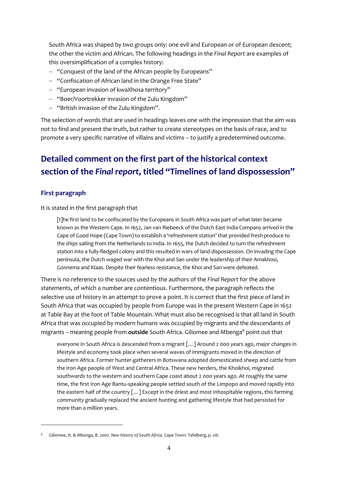South Africa was shaped by two groups only: one evil and European or of European descent; the other the victim and African. The following headings in the *Final Report* are examples of this oversimplification of a complex history:

- − "Conquest of the land of the African people by Europeans"
- − "Confiscation of African land in the Orange Free State"
- − "European invasion of kwaXhosa territory"
- − "Boer/Voortrekker invasion of the Zulu Kingdom"
- − "British invasion of the Zulu Kingdom".

The selection of words that are used in headings leaves one with the impression that the aim was not to find and present the truth, but rather to create stereotypes on the basis of race, and to promote a very specific narrative of villains and victims – to justify a predetermined outcome.

# <span id="page-7-0"></span>**Detailed comment on the first part of the historical context section of the** *Final report***, titled "Timelines of land dispossession"**

## <span id="page-7-1"></span>**First paragraph**

It is stated in the first paragraph that

[t]he first land to be confiscated by the Europeans in South Africa was part of what later became known as the Western Cape. In 1652, Jan van Riebeeck of the Dutch East India Company arrived in the Cape of Good Hope (Cape Town) to establish a 'refreshment station' that provided fresh produce to the ships sailing from the Netherlands to India. In 1655, the Dutch decided to turn the refreshment station into a fully-fledged colony and this resulted in wars of land dispossession. On invading the Cape peninsula, the Dutch waged war with the Khoi and San under the leadership of their Amakhosi, Gonnema and Klaas. Despite their fearless resistance, the Khoi and San were defeated.

There is no reference to the sources used by the authors of the *Final Report* for the above statements, of which a number are contentious. Furthermore, the paragraph reflects the selective use of history in an attempt to prove a point. It is correct that the first piece of land in South Africa that was occupied by people from Europe was in the present Western Cape in 1652 at Table Bay at the foot of Table Mountain. What must also be recognised is that all land in South Africa that was occupied by modern humans was occupied by migrants and the descendants of migrants – meaning people from **outside** South Africa. Giliomee and Mbenga<sup>8</sup> point out that

everyone in South Africa is descended from a migrant […] Around 2 000 years ago, major changes in lifestyle and economy took place when several waves of immigrants moved in the direction of southern Africa. Former hunter-gatherers in Botswana adopted domesticated sheep and cattle from the Iron Age people of West and Central Africa. These new herders, the Khoikhoi, migrated southwards to the western and southern Cape coast about 2 000 years ago. At roughly the same time, the first Iron Age Bantu-speaking people settled south of the Limpopo and moved rapidly into the eastern half of the country […] Except in the driest and most inhospitable regions, this farming community gradually replaced the ancient hunting and gathering lifestyle that had persisted for more than a million years.

<sup>8</sup> Giliomee, H. & Mbenga, B. 2007. *New history of South Africa.* Cape Town: Tafelberg*,* p. viii.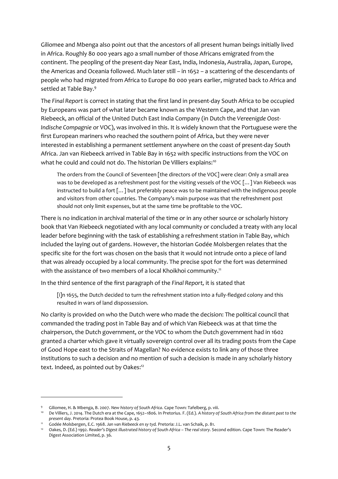Giliomee and Mbenga also point out that the ancestors of all present human beings initially lived in Africa. Roughly 80 000 years ago a small number of those Africans emigrated from the continent. The peopling of the present-day Near East, India, Indonesia, Australia, Japan, Europe, the Americas and Oceania followed. Much later still – in 1652 – a scattering of the descendants of people who had migrated from Africa to Europe 80 000 years earlier, migrated back to Africa and settled at Table Bay.<sup>9</sup>

The *Final Report* is correct in stating that the first land in present-day South Africa to be occupied by Europeans was part of what later became known as the Western Cape, and that Jan van Riebeeck, an official of the United Dutch East India Company (in Dutch the *Vereenigde Oost-Indische Compagnie* or VOC), was involved in this. It is widely known that the Portuguese were the first European mariners who reached the southern point of Africa, but they were never interested in establishing a permanent settlement anywhere on the coast of present-day South Africa. Jan van Riebeeck arrived in Table Bay in 1652 with specific instructions from the VOC on what he could and could not do. The historian De Villiers explains:<sup>10</sup>

The orders from the Council of Seventeen [the directors of the VOC] were clear: Only a small area was to be developed as a refreshment post for the visiting vessels of the VOC [...] Van Riebeeck was instructed to build a fort […] but preferably peace was to be maintained with the indigenous people and visitors from other countries. The Company's main purpose was that the refreshment post should not only limit expenses, but at the same time be profitable to the VOC.

There is no indication in archival material of the time or in any other source or scholarly history book that Van Riebeeck negotiated with any local community or concluded a treaty with any local leader before beginning with the task of establishing a refreshment station in Table Bay, which included the laying out of gardens. However, the historian Godée Molsbergen relates that the specific site for the fort was chosen on the basis that it would not intrude onto a piece of land that was already occupied by a local community. The precise spot for the fort was determined with the assistance of two members of a local Khoikhoi community.<sup>11</sup>

In the third sentence of the first paragraph of the *Final Report,* it is stated that

[i]n 1655, the Dutch decided to turn the refreshment station into a fully-fledged colony and this resulted in wars of land dispossession.

No clarity is provided on who the Dutch were who made the decision: The political council that commanded the trading post in Table Bay and of which Van Riebeeck was at that time the chairperson, the Dutch government, or the VOC to whom the Dutch government had in 1602 granted a charter which gave it virtually sovereign control over all its trading posts from the Cape of Good Hope east to the Straits of Magellan? No evidence exists to link any of those three institutions to such a decision and no mention of such a decision is made in any scholarly history text. Indeed, as pointed out by Oakes:<sup>12</sup>

<sup>9</sup> Giliomee, H. & Mbenga, B. 2007. *New history of South Africa*. Cape Town: Tafelberg, p. viii.

<sup>10</sup> De Villiers, J. 2014. The Dutch era at the Cape, 1652–1806. In Pretorius. F. (Ed.). *A history of South Africa from the distant past to the present day.* Pretoria: Protea Book House, p. 43.

<sup>11</sup> Godée Molsbergen, E.C. 1968. *Jan van Riebeeck en sy tyd.* Pretoria: J.L. van Schaik, p. 81.

<sup>12</sup> Oakes, D. (Ed.) 1992. *Reader's Digest illustrated history of South Africa – The real story.* Second edition. Cape Town: The Reader's Digest Association Limited, p. 36.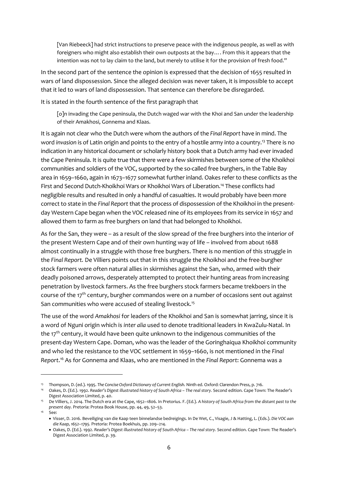[Van Riebeeck] had strict instructions to preserve peace with the indigenous people, as well as with foreigners who might also establish their own outposts at the bay…. From this it appears that the intention was not to lay claim to the land, but merely to utilise it for the provision of fresh food."

In the second part of the sentence the opinion is expressed that the decision of 1655 resulted in wars of land dispossession. Since the alleged decision was never taken, it is impossible to accept that it led to wars of land dispossession. That sentence can therefore be disregarded.

It is stated in the fourth sentence of the first paragraph that

[o]n invading the Cape peninsula, the Dutch waged war with the Khoi and San under the leadership of their Amakhosi, Gonnema and Klaas.

It is again not clear who the Dutch were whom the authors of the *Final Report* have in mind. The word *invasion* is of Latin origin and points to the entry of a hostile army into a country.<sup>13</sup> There is no indication in any historical document or scholarly history book that a Dutch army had ever invaded the Cape Peninsula. It is quite true that there were a few skirmishes between some of the Khoikhoi communities and soldiers of the VOC, supported by the so-called free burghers, in the Table Bay area in 1659–1660, again in 1673–1677 somewhat further inland. Oakes refer to these conflicts as the First and Second Dutch-Khoikhoi Wars or Khoikhoi Wars of Liberation.<sup>14</sup> These conflicts had negligible results and resulted in only a handful of casualties. It would probably have been more correct to state in the *Final Report* that the process of dispossession of the Khoikhoi in the presentday Western Cape began when the VOC released nine of its employees from its service in 1657 and allowed them to farm as free burghers on land that had belonged to Khoikhoi.

As for the San, they were – as a result of the slow spread of the free burghers into the interior of the present Western Cape and of their own hunting way of life – involved from about 1688 almost continually in a struggle with those free burghers. There is no mention of this struggle in the *Final Report.* De Villiers points out that in this struggle the Khoikhoi and the free-burgher stock farmers were often natural allies in skirmishes against the San, who, armed with their deadly poisoned arrows, desperately attempted to protect their hunting areas from increasing penetration by livestock farmers. As the free burghers stock farmers became trekboers in the course of the 17<sup>th</sup> century, burgher commandos were on a number of occasions sent out against San communities who were accused of stealing livestock.<sup>15</sup>

The use of the word *Amakhosi* for leaders of the Khoikhoi and San is somewhat jarring, since it is a word of Nguni origin which is *inter alia* used to denote traditional leaders in KwaZulu-Natal. In the 17<sup>th</sup> century, it would have been quite unknown to the indigenous communities of the present-day Western Cape. Doman, who was the leader of the Goringhaiqua Khoikhoi community and who led the resistance to the VOC settlement in 1659–1660, is not mentioned in the *Final Report*. <sup>16</sup> As for Gonnema and Klaas, who are mentioned in the *Final Report*: Gonnema was a

<sup>13</sup> Thompson, D. (ed.). 1995. *The Concise Oxford Dictionary of Current English.* Ninth ed. Oxford: Clarendon Press, p. 716.

<sup>14</sup> Oakes, D. (Ed.). 1992. *Reader's Digest illustrated history of South Africa – The real story.* Second edition. Cape Town: The Reader's Digest Association Limited, p. 40.

<sup>15</sup> De Villiers, J. 2014. The Dutch era at the Cape, 1652–1806. In Pretorius. F. (Ed.). *A history of South Africa from the distant past to the present day.* Pretoria: Protea Book House, pp. 44, 49, 52–53.

 $16$  See:

<sup>•</sup> Visser, D. 2016. Beveiliging van die Kaap teen binnelandse bedreigings. In De Wet, C., Visagie, J & Hatting, L. (Eds.). *Die VOC aan die Kaap, 1652–1795.* Pretoria: Protea Boekhuis, pp. 209–214.

<sup>•</sup> Oakes, D. (Ed.). 1992. *Reader's Digest illustrated history of South Africa – The real story.* Second edition. Cape Town: The Reader's Digest Association Limited, p. 39.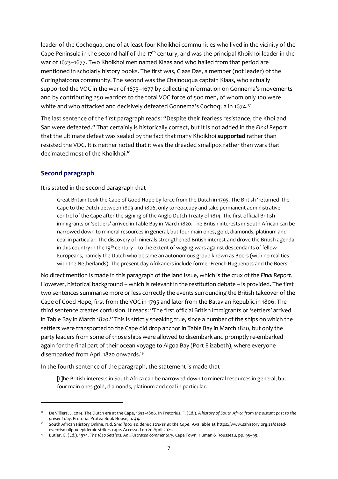leader of the Cochoqua, one of at least four Khoikhoi communities who lived in the vicinity of the Cape Peninsula in the second half of the  $17<sup>th</sup>$  century, and was the principal Khoikhoi leader in the war of 1673–1677. Two Khoikhoi men named Klaas and who hailed from that period are mentioned in scholarly history books. The first was, Claas Das, a member (not leader) of the Goringhaicona community. The second was the Chainouqua captain Klaas, who actually supported the VOC in the war of 1673–1677 by collecting information on Gonnema's movements and by contributing 250 warriors to the total VOC force of 500 men, of whom only 100 were white and who attacked and decisively defeated Gonnema's Cochoqua in 1674.<sup>17</sup>

The last sentence of the first paragraph reads: "Despite their fearless resistance, the Khoi and San were defeated." That certainly is historically correct, but it is not added in the *Final Report* that the ultimate defeat was sealed by the fact that many Khoikhoi **supported** rather than resisted the VOC. It is neither noted that it was the dreaded smallpox rather than wars that decimated most of the Khoikhoi.<sup>18</sup>

#### <span id="page-10-0"></span>**Second paragraph**

It is stated in the second paragraph that

Great Britain took the Cape of Good Hope by force from the Dutch in 1795. The British 'returned' the Cape to the Dutch between 1803 and 1806, only to reoccupy and take permanent administrative control of the Cape after the signing of the Anglo-Dutch Treaty of 1814. The first official British immigrants or 'settlers' arrived in Table Bay in March 1820. The British interests in South African can be narrowed down to mineral resources in general, but four main ones, gold, diamonds, platinum and coal in particular. The discovery of minerals strengthened British interest and drove the British agenda in this country in the 19<sup>th</sup> century – to the extent of waging wars against descendants of fellow Europeans, namely the Dutch who became an autonomous group known as Boers (with no real ties with the Netherlands). The present-day Afrikaners include former French Huguenots and the Boers.

No direct mention is made in this paragraph of the land issue, which is the crux of the *Final Report*. However, historical background – which is relevant in the restitution debate – is provided. The first two sentences summarise more or less correctly the events surrounding the British takeover of the Cape of Good Hope, first from the VOC in 1795 and later from the Batavian Republic in 1806. The third sentence creates confusion. It reads: "The first official British immigrants or 'settlers' arrived in Table Bay in March 1820." This is strictly speaking true, since a number of the ships on which the settlers were transported to the Cape did drop anchor in Table Bay in March 1820, but only the party leaders from some of those ships were allowed to disembark and promptly re-embarked again for the final part of their ocean voyage to Algoa Bay (Port Elizabeth), where everyone disembarked from April 1820 onwards.<sup>19</sup>

In the fourth sentence of the paragraph, the statement is made that

[t]he British interests in South Africa can be narrowed down to mineral resources in general, but four main ones gold, diamonds, platinum and coal in particular.

<sup>17</sup> De Villiers, J. 2014. The Dutch era at the Cape, 1652–1806. In Pretorius. F. (Ed.). *A history of South Africa from the distant past to the present day.* Pretoria: Protea Book House, p. 44.

<sup>&</sup>lt;sup>18</sup> South African History Online. N.d. Smallpox epidemic strikes at the Cape. Available at [https://www.sahistory.org.za/dated](https://www.sahistory.org.za/dated-event/smallpox-epidemic-strikes-cape)[event/smallpox-epidemic-strikes-cape.](https://www.sahistory.org.za/dated-event/smallpox-epidemic-strikes-cape) Accessed on 20 April 2021.

<sup>19</sup> Butler, G. (Ed.). 1974. *The 1820 Settlers. An illustrated commentary.* Cape Town: Human & Rousseau, pp. 95–99.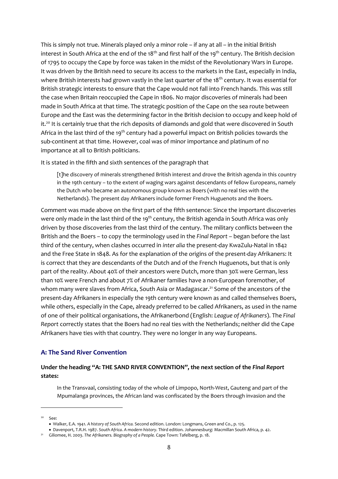This is simply not true. Minerals played only a minor role – if any at all – in the initial British interest in South Africa at the end of the 18<sup>th</sup> and first half of the 19<sup>th</sup> century. The British decision of 1795 to occupy the Cape by force was taken in the midst of the Revolutionary Wars in Europe. It was driven by the British need to secure its access to the markets in the East, especially in India, where British interests had grown vastly in the last quarter of the 18<sup>th</sup> century. It was essential for British strategic interests to ensure that the Cape would not fall into French hands. This was still the case when Britain reoccupied the Cape in 1806. No major discoveries of minerals had been made in South Africa at that time. The strategic position of the Cape on the sea route between Europe and the East was the determining factor in the British decision to occupy and keep hold of it.<sup>20</sup> It is certainly true that the rich deposits of diamonds and gold that were discovered in South Africa in the last third of the 19<sup>th</sup> century had a powerful impact on British policies towards the sub-continent at that time. However, coal was of minor importance and platinum of no importance at all to British politicians.

It is stated in the fifth and sixth sentences of the paragraph that

[t]he discovery of minerals strengthened British interest and drove the British agenda in this country in the 19th century – to the extent of waging wars against descendants of fellow Europeans, namely the Dutch who became an autonomous group known as Boers (with no real ties with the Netherlands). The present day Afrikaners include former French Huguenots and the Boers.

Comment was made above on the first part of the fifth sentence: Since the important discoveries were only made in the last third of the 19<sup>th</sup> century, the British agenda in South Africa was only driven by those discoveries from the last third of the century. The military conflicts between the British and the Boers – to copy the terminology used in the *Final Report* – began before the last third of the century, when clashes occurred in *inter alia* the present-day KwaZulu-Natal in 1842 and the Free State in 1848. As for the explanation of the origins of the present-day Afrikaners: It is correct that they are descendants of the Dutch and of the French Huguenots, but that is only part of the reality. About 40% of their ancestors were Dutch, more than 30% were German, less than 10% were French and about 7% of Afrikaner families have a non-European foremother, of whom many were slaves from Africa, South Asia or Madagascar.<sup>21</sup> Some of the ancestors of the present-day Afrikaners in especially the 19th century were known as and called themselves Boers, while others, especially in the Cape, already preferred to be called Afrikaners, as used in the name of one of their political organisations, the Afrikanerbond (English: *League of Afrikaners*). The *Final Report* correctly states that the Boers had no real ties with the Netherlands; neither did the Cape Afrikaners have ties with that country. They were no longer in any way Europeans.

#### <span id="page-11-0"></span>**A: The Sand River Convention**

## **Under the heading "A: THE SAND RIVER CONVENTION", the next section of the** *Final Report* **states:**

In the Transvaal, consisting today of the whole of Limpopo, North-West, Gauteng and part of the Mpumalanga provinces, the African land was confiscated by the Boers through invasion and the

<sup>20</sup> See:

<sup>•</sup> Walker, E.A. 1941. *A history of South Africa.* Second edition. London: Longmans, Green and Co., p. 125.

<sup>•</sup> Davenport, T.R.H. 1987. *South Africa. A modern history.* Third edition. Johannesburg: Macmillan South Africa, p. 42.

<sup>21</sup> Giliomee, H. 2003. *The Afrikaners. Biography of a People.* Cape Town: Tafelberg, p. 18.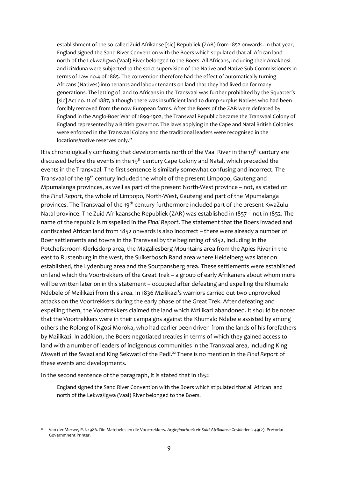establishment of the so-called Zuid Afrikanse [sic] Republiek (ZAR) from 1852 onwards. In that year, England signed the Sand River Convention with the Boers which stipulated that all African land north of the Lekwa/Igwa (Vaal) River belonged to the Boers. All Africans, including their Amakhosi and iziNduna were subjected to the strict supervision of the Native and Native Sub-Commissioners in terms of Law no.4 of 1885. The convention therefore had the effect of automatically turning Africans (Natives) into tenants and labour tenants on land that they had lived on for many generations. The letting of land to Africans in the Transvaal was further prohibited by the Squatter's [sic] Act no. 11 of 1887, although there was insufficient land to dump surplus Natives who had been forcibly removed from the now European farms. After the Boers of the ZAR were defeated by England in the Anglo-Boer War of 1899-1902, the Transvaal Republic became the Transvaal Colony of England represented by a British governor. The laws applying in the Cape and Natal British Colonies were enforced in the Transvaal Colony and the traditional leaders were recognised in the locations/native reserves only."

It is chronologically confusing that developments north of the Vaal River in the 19<sup>th</sup> century are discussed before the events in the 19<sup>th</sup> century Cape Colony and Natal, which preceded the events in the Transvaal. The first sentence is similarly somewhat confusing and incorrect. The Transvaal of the 19th century included the whole of the present Limpopo, Gauteng and Mpumalanga provinces, as well as part of the present North-West province – not, as stated on the *Final Report*, the whole of Limpopo, North-West, Gauteng and part of the Mpumalanga provinces. The Transvaal of the 19<sup>th</sup> century furthermore included part of the present KwaZulu-Natal province. The Zuid-Afrikaansche Republiek (ZAR) was established in 1857 – not in 1852. The name of the republic is misspelled in the *Final Report*. The statement that the Boers invaded and confiscated African land from 1852 onwards is also incorrect – there were already a number of Boer settlements and towns in the Transvaal by the beginning of 1852, including in the Potchefstroom-Klerksdorp area, the Magaliesberg Mountains area from the Apies River in the east to Rustenburg in the west, the Suikerbosch Rand area where Heidelberg was later on established, the Lydenburg area and the Soutpansberg area. These settlements were established on land which the Voortrekkers of the Great Trek – a group of early Afrikaners about whom more will be written later on in this statement – occupied after defeating and expelling the Khumalo Ndebele of Mzilikazi from this area. In 1836 Mzilikazi's warriors carried out two unprovoked attacks on the Voortrekkers during the early phase of the Great Trek. After defeating and expelling them, the Voortrekkers claimed the land which Mzilikazi abandoned. It should be noted that the Voortrekkers were in their campaigns against the Khumalo Ndebele assisted by among others the Rolong of Kgosi Moroka, who had earlier been driven from the lands of his forefathers by Mzilikazi. In addition, the Boers negotiated treaties in terms of which they gained access to land with a number of leaders of indigenous communities in the Transvaal area, including King Mswati of the Swazi and King Sekwati of the Pedi.<sup>22</sup> There is no mention in the *Final Report* of these events and developments.

In the second sentence of the paragraph, it is stated that in 1852

England signed the Sand River Convention with the Boers which stipulated that all African land north of the Lekwa/Igwa (Vaal) River belonged to the Boers.

<sup>22</sup> Van der Merwe, P.J. 1986. Die Matebeles en die Voortrekkers. *Argiefjaarboek vir Suid-Afrikaanse Geskiedenis* 49(2). Pretoria: Governmnent Printer.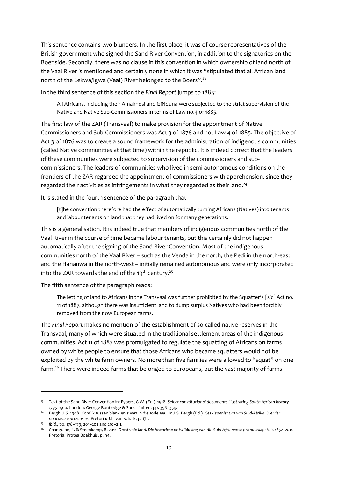This sentence contains two blunders. In the first place, it was of course representatives of the British government who signed the Sand River Convention, in addition to the signatories on the Boer side. Secondly, there was no clause in this convention in which ownership of land north of the Vaal River is mentioned and certainly none in which it was "stipulated that all African land north of the Lekwa/Igwa (Vaal) River belonged to the Boers".<sup>23</sup>

In the third sentence of this section the *Final Report* jumps to 1885:

All Africans, including their Amakhosi and iziNduna were subjected to the strict supervision of the Native and Native Sub-Commissioners in terms of Law no.4 of 1885.

The first law of the ZAR (Transvaal) to make provision for the appointment of Native Commissioners and Sub-Commissioners was Act 3 of 1876 and not Law 4 of 1885. The objective of Act 3 of 1876 was to create a sound framework for the administration of indigenous communities (called Native communities at that time) within the republic. It is indeed correct that the leaders of these communities were subjected to supervision of the commissioners and subcommissioners. The leaders of communities who lived in semi-autonomous conditions on the frontiers of the ZAR regarded the appointment of commissioners with apprehension, since they regarded their activities as infringements in what they regarded as their land.<sup>24</sup>

It is stated in the fourth sentence of the paragraph that

[t]he convention therefore had the effect of automatically turning Africans (Natives) into tenants and labour tenants on land that they had lived on for many generations.

This is a generalisation. It is indeed true that members of indigenous communities north of the Vaal River in the course of time became labour tenants, but this certainly did not happen automatically after the signing of the Sand River Convention. Most of the indigenous communities north of the Vaal River – such as the Venda in the north, the Pedi in the north-east and the Hananwa in the north-west – initially remained autonomous and were only incorporated into the ZAR towards the end of the  $19^{th}$  century.<sup>25</sup>

The fifth sentence of the paragraph reads:

The letting of land to Africans in the Transvaal was further prohibited by the Squatter's [sic] Act no. 11 of 1887, although there was insufficient land to dump surplus Natives who had been forcibly removed from the now European farms.

The *Final Report* makes no mention of the establishment of so-called native reserves in the Transvaal, many of which were situated in the traditional settlement areas of the indigenous communities. Act 11 of 1887 was promulgated to regulate the squatting of Africans on farms owned by white people to ensure that those Africans who became squatters would not be exploited by the white farm owners. No more than five families were allowed to "squat" on one farm.<sup>26</sup> There were indeed farms that belonged to Europeans, but the vast majority of farms

<sup>23</sup> Text of the Sand River Convention in: Eybers, G.W. (Ed.). 1918. *Select constitutional documents illustrating South African history 1795–1910.* London: George Routledge & Sons Limited, pp. 358–359.

<sup>24</sup> Bergh, J.S. 1998. Konflik tussen blank en swart in die 19de eeu. In J.S. Bergh (Ed.). *Geskiedenisatlas van Suid-Afrika. Die vier noordelike provinsies.* Pretoria: J.L. van Schaik, p. 171.

<sup>25</sup> *Ibid.*, pp. 178–179, 201–202 and 210–211.

<sup>26</sup> Changuion, L. & Steenkamp, B. 2011. *Omstrede land. Die historiese ontwikkeling van die Suid-Afrikaanse grondvraagstuk, 1652–2011.* Pretoria: Protea Boekhuis, p. 94.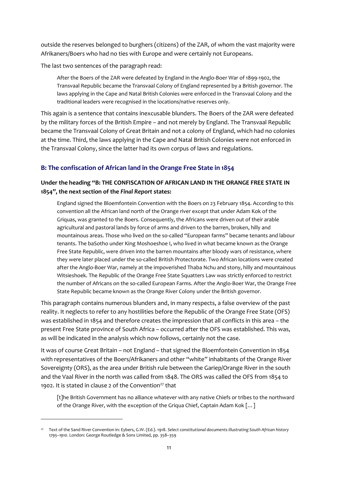outside the reserves belonged to burghers (citizens) of the ZAR, of whom the vast majority were Afrikaners/Boers who had no ties with Europe and were certainly not Europeans.

The last two sentences of the paragraph read:

After the Boers of the ZAR were defeated by England in the Anglo-Boer War of 1899-1902, the Transvaal Republic became the Transvaal Colony of England represented by a British governor. The laws applying in the Cape and Natal British Colonies were enforced in the Transvaal Colony and the traditional leaders were recognised in the locations/native reserves only.

This again is a sentence that contains inexcusable blunders. The Boers of the ZAR were defeated by the military forces of the British Empire – and not merely by England. The Transvaal Republic became the Transvaal Colony of Great Britain and not a colony of England, which had no colonies at the time. Third, the laws applying in the Cape and Natal British Colonies were not enforced in the Transvaal Colony, since the latter had its own corpus of laws and regulations.

## <span id="page-14-0"></span>**B: The confiscation of African land in the Orange Free State in 1854**

## **Under the heading "B: THE CONFISCATION OF AFRICAN LAND IN THE ORANGE FREE STATE IN 1854", the next section of the** *Final Report* **states:**

England signed the Bloemfontein Convention with the Boers on 23 February 1854. According to this convention all the African land north of the Orange river except that under Adam Kok of the Griquas, was granted to the Boers. Consequently, the Africans were driven out of their arable agricultural and pastoral lands by force of arms and driven to the barren, broken, hilly and mountainous areas. Those who lived on the so-called "European farms" became tenants and labour tenants. The baSotho under King Moshoeshoe I, who lived in what became known as the Orange Free State Republic, were driven into the barren mountains after bloody wars of resistance, where they were later placed under the so-called British Protectorate. Two African locations were created after the Anglo-Boer War, namely at the impoverished Thaba Nchu and stony, hilly and mountainous Witsieshoek. The Republic of the Orange Free State Squatters Law was strictly enforced to restrict the number of Africans on the so-called European Farms. After the Anglo-Boer War, the Orange Free State Republic became known as the Orange River Colony under the British governor.

This paragraph contains numerous blunders and, in many respects, a false overview of the past reality. It neglects to refer to any hostilities before the Republic of the Orange Free State (OFS) was established in 1854 and therefore creates the impression that all conflicts in this area – the present Free State province of South Africa – occurred after the OFS was established. This was, as will be indicated in the analysis which now follows, certainly not the case.

It was of course Great Britain – not England – that signed the Bloemfontein Convention in 1854 with representatives of the Boers/Afrikaners and other "white" inhabitants of the Orange River Sovereignty (ORS), as the area under British rule between the Gariep/Orange River in the south and the Vaal River in the north was called from 1848. The ORS was called the OFS from 1854 to 1902. It is stated in clause 2 of the Convention<sup>27</sup> that

[t]he British Government has no alliance whatever with any native Chiefs or tribes to the northward of the Orange River, with the exception of the Griqua Chief, Captain Adam Kok […]

<sup>27</sup> Text of the Sand River Convention in: Eybers, G.W. (Ed.). 1918. *Select constitutional documents illustrating South African history 1795–1910.* London: George Routledge & Sons Limited, pp. 358–359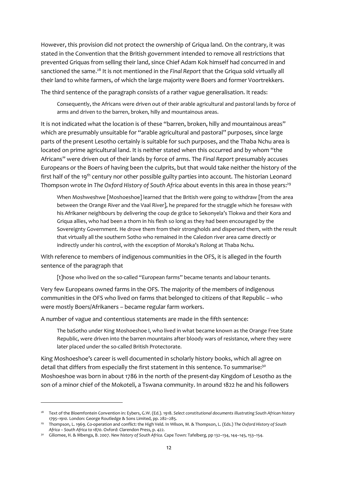However, this provision did not protect the ownership of Griqua land. On the contrary, it was stated in the Convention that the British government intended to remove all restrictions that prevented Griquas from selling their land, since Chief Adam Kok himself had concurred in and sanctioned the same.<sup>28</sup> It is not mentioned in the *Final Report* that the Griqua sold virtually all their land to white farmers, of which the large majority were Boers and former Voortrekkers.

The third sentence of the paragraph consists of a rather vague generalisation. It reads:

Consequently, the Africans were driven out of their arable agricultural and pastoral lands by force of arms and driven to the barren, broken, hilly and mountainous areas.

It is not indicated what the location is of these "barren, broken, hilly and mountainous areas" which are presumably unsuitable for "arable agricultural and pastoral" purposes, since large parts of the present Lesotho certainly is suitable for such purposes, and the Thaba Nchu area is located on prime agricultural land. It is neither stated when this occurred and by whom "the Africans" were driven out of their lands by force of arms. The *Final Report* presumably accuses Europeans or the Boers of having been the culprits, but that would take neither the history of the first half of the 19<sup>th</sup> century nor other possible guilty parties into account. The historian Leonard Thompson wrote in *The Oxford History of South Africa* about events in this area in those years:<sup>29</sup>

When Moshweshwe [Moshoeshoe] learned that the British were going to withdraw [from the area between the Orange River and the Vaal River], he prepared for the struggle which he foresaw with his Afrikaner neighbours by delivering the coup de grâce to Sekonyela's Tlokwa and their Kora and Griqua allies, who had been a thorn in his flesh so long as they had been encouraged by the Sovereignty Government. He drove them from their strongholds and dispersed them, with the result that virtually all the southern Sotho who remained in the Caledon river area came directly or indirectly under his control, with the exception of Moroka's Rolong at Thaba Nchu.

With reference to members of indigenous communities in the OFS, it is alleged in the fourth sentence of the paragraph that

[t]hose who lived on the so-called "European farms" became tenants and labour tenants.

Very few Europeans owned farms in the OFS. The majority of the members of indigenous communities in the OFS who lived on farms that belonged to citizens of that Republic – who were mostly Boers/Afrikaners – became regular farm workers.

A number of vague and contentious statements are made in the fifth sentence:

The baSotho under King Moshoeshoe I, who lived in what became known as the Orange Free State Republic, were driven into the barren mountains after bloody wars of resistance, where they were later placed under the so-called British Protectorate.

King Moshoeshoe's career is well documented in scholarly history books, which all agree on detail that differs from especially the first statement in this sentence. To summarise:<sup>30</sup> Moshoeshoe was born in about 1786 in the north of the present-day Kingdom of Lesotho as the son of a minor chief of the Mokoteli, a Tswana community. In around 1822 he and his followers

<sup>&</sup>lt;sup>28</sup> Text of the Bloemfontein Convention in: Eybers, G.W. (Ed.). 1918. Select constitutional documents illustrating South African history *1795–1910.* London: George Routledge & Sons Limited, pp. 282–285.

<sup>29</sup> Thompson, L. 1969. Co-operation and conflict: the High Veld. In Wilson, M. & Thompson, L. (Eds.) *The Oxford History of South Africa – South Africa to 1870.* Oxford: Clarendon Press, p. 422.

<sup>30</sup> Giliomee, H. & Mbenga, B. 2007. *New history of South Africa.* Cape Town: Tafelberg*,* pp 132–134, 144–145, 153–154.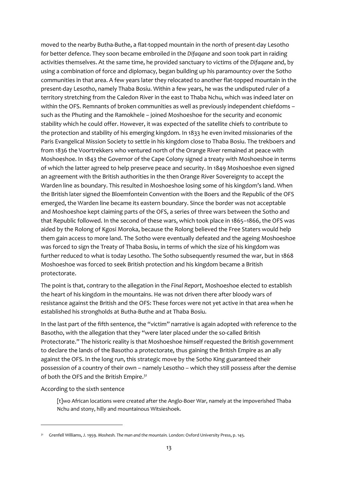moved to the nearby Butha-Buthe, a flat-topped mountain in the north of present-day Lesotho for better defence. They soon became embroiled in the *Difaqane* and soon took part in raiding activities themselves. At the same time, he provided sanctuary to victims of the *Difaqane* and, by using a combination of force and diplomacy, began building up his paramountcy over the Sotho communities in that area. A few years later they relocated to another flat-topped mountain in the present-day Lesotho, namely Thaba Bosiu. Within a few years, he was the undisputed ruler of a territory stretching from the Caledon River in the east to Thaba Nchu, which was indeed later on within the OFS. Remnants of broken communities as well as previously independent chiefdoms – such as the Phuting and the Ramokhele – joined Moshoeshoe for the security and economic stability which he could offer. However, it was expected of the satellite chiefs to contribute to the protection and stability of his emerging kingdom. In 1833 he even invited missionaries of the Paris Evangelical Mission Society to settle in his kingdom close to Thaba Bosiu. The trekboers and from 1836 the Voortrekkers who ventured north of the Orange River remained at peace with Moshoeshoe. In 1843 the Governor of the Cape Colony signed a treaty with Moshoeshoe in terms of which the latter agreed to help preserve peace and security. In 1849 Moshoeshoe even signed an agreement with the British authorities in the then Orange River Sovereignty to accept the Warden line as boundary. This resulted in Moshoeshoe losing some of his kingdom's land. When the British later signed the Bloemfontein Convention with the Boers and the Republic of the OFS emerged, the Warden line became its eastern boundary. Since the border was not acceptable and Moshoeshoe kept claiming parts of the OFS, a series of three wars between the Sotho and that Republic followed. In the second of these wars, which took place in 1865–1866, the OFS was aided by the Rolong of Kgosi Moroka, because the Rolong believed the Free Staters would help them gain access to more land. The Sotho were eventually defeated and the ageing Moshoeshoe was forced to sign the Treaty of Thaba Bosiu, in terms of which the size of his kingdom was further reduced to what is today Lesotho. The Sotho subsequently resumed the war, but in 1868 Moshoeshoe was forced to seek British protection and his kingdom became a British protectorate.

The point is that, contrary to the allegation in the *Final Report*, Moshoeshoe elected to establish the heart of his kingdom in the mountains. He was not driven there after bloody wars of resistance against the British and the OFS: These forces were not yet active in that area when he established his strongholds at Butha-Buthe and at Thaba Bosiu.

In the last part of the fifth sentence, the "victim" narrative is again adopted with reference to the Basotho, with the allegation that they "were later placed under the so-called British Protectorate." The historic reality is that Moshoeshoe himself requested the British government to declare the lands of the Basotho a protectorate, thus gaining the British Empire as an ally against the OFS. In the long run, this strategic move by the Sotho King guaranteed their possession of a country of their own – namely Lesotho – which they still possess after the demise of both the OFS and the British Empire.<sup>31</sup>

#### According to the sixth sentence

[t]wo African locations were created after the Anglo-Boer War, namely at the impoverished Thaba Nchu and stony, hilly and mountainous Witsieshoek.

<sup>31</sup> Grenfell Williams, J. 1959. *Moshesh. The man and the mountain.* London: Oxford University Press, p. 145.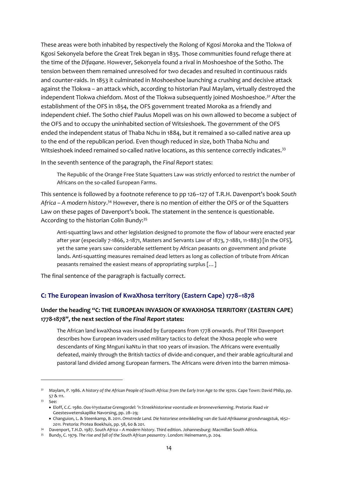These areas were both inhabited by respectively the Rolong of Kgosi Moroka and the Tlokwa of Kgosi Sekonyela before the Great Trek began in 1835. Those communities found refuge there at the time of the *Difaqane*. However, Sekonyela found a rival in Moshoeshoe of the Sotho. The tension between them remained unresolved for two decades and resulted in continuous raids and counter-raids. In 1853 it culminated in Moshoeshoe launching a crushing and decisive attack against the Tlokwa – an attack which, according to historian Paul Maylam, virtually destroyed the independent Tlokwa chiefdom. Most of the Tlokwa subsequently joined Moshoeshoe.<sup>32</sup> After the establishment of the OFS in 1854, the OFS government treated Moroka as a friendly and independent chief. The Sotho chief Paulus Mopeli was on his own allowed to become a subject of the OFS and to occupy the uninhabited section of Witsieshoek. The government of the OFS ended the independent status of Thaba Nchu in 1884, but it remained a so-called native area up to the end of the republican period. Even though reduced in size, both Thaba Nchu and Witsieshoek indeed remained so-called native locations, as this sentence correctly indicates.<sup>33</sup>

In the seventh sentence of the paragraph, the *Final Report* states:

The Republic of the Orange Free State Squatters Law was strictly enforced to restrict the number of Africans on the so-called European Farms.

This sentence is followed by a footnote reference to pp 126–127 of T.R.H. Davenport's book *South*  Africa – A modern history.<sup>34</sup> However, there is no mention of either the OFS or of the Squatters Law on these pages of Davenport's book. The statement in the sentence is questionable. According to the historian Colin Bundy:<sup>35</sup>

Anti-squatting laws and other legislation designed to promote the flow of labour were enacted year after year (especially 7-1866, 2-1871, Masters and Servants Law of 1873, 7-1881, 11-1883) [in the OFS], yet the same years saw considerable settlement by African peasants on government and private lands. Anti-squatting measures remained dead letters as long as collection of tribute from African peasants remained the easiest means of appropriating surplus […]

The final sentence of the paragraph is factually correct.

## <span id="page-17-0"></span>**C: The European invasion of KwaXhosa territory (Eastern Cape) 1778–1878**

## **Under the heading "C: THE EUROPEAN INVASION OF KWAXHOSA TERRITORY (EASTERN CAPE) 1778-1878", the next section of the** *Final Report* **states:**

The African land kwaXhosa was invaded by Europeans from 1778 onwards. Prof TRH Davenport describes how European invaders used military tactics to defeat the Xhosa people who were descendants of King Mnguni kaNtu in that 100 years of invasion. The Africans were eventually defeated, mainly through the British tactics of divide-and-conquer, and their arable agricultural and pastoral land divided among European farmers. The Africans were driven into the barren mimosa-

<sup>32</sup> Maylam, P. 1986. *A history of the African People of South Africa: from the Early Iron Age to the 1970s*. Cape Town: David Philip, pp. 57 & 111.

<sup>33</sup> See:

<sup>•</sup> Eloff, C.C. 1980. *Oos-Vrystaatse Grensgordel: 'n Streekhistoriese voorstudie en bronneverkenning*. Pretoria: Raad vir Geesteswetenskaplike Navorsing, pp. 28–29;

<sup>•</sup> Changuion, L. & Steenkamp, B. 2011. *Omstrede Land. Die historiese ontwikkeling van die Suid-Afrikaanse grondvraagstuk, 1652– 2011.* Pretoria: Protea Boekhuis, pp. 58, 60 & 201.

<sup>34</sup> Davenport, T.H.D. 1987. *South Africa – A modern history*. Third edition. Johannesburg: Macmillan South Africa.

<sup>35</sup> Bundy, C. 1979. *The rise and fall of the South African peasantry*. London: Heinemann, p. 204.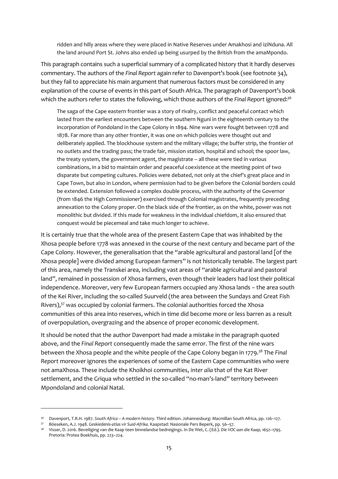ridden and hilly areas where they were placed in Native Reserves under Amakhosi and iziNduna. All the land around Port St. Johns also ended up being usurped by the British from the amaMpondo.

This paragraph contains such a superficial summary of a complicated history that it hardly deserves commentary. The authors of the *Final Report* again refer to Davenport's book (see footnote 34), but they fail to appreciate his main argument that numerous factors must be considered in any explanation of the course of events in this part of South Africa. The paragraph of Davenport's book which the authors refer to states the following, which those authors of the *Final Report* ignored:<sup>36</sup>

The saga of the Cape eastern frontier was a story of rivalry, conflict and peaceful contact which lasted from the earliest encounters between the southern Nguni in the eighteenth century to the incorporation of Pondoland in the Cape Colony in 1894. Nine wars were fought between 1778 and 1878. Far more than any other frontier, it was one on which policies were thought out and deliberately applied. The blockhouse system and the military village; the buffer strip, the frontier of no outlets and the trading pass; the trade fair, mission station, hospital and school; the spoor law, the treaty system, the government agent, the magistrate – all these were tied in various combinations, in a bid to maintain order and peaceful coexistence at the meeting point of two disparate but competing cultures. Policies were debated, not only at the chief's great place and in Cape Town, but also in London, where permission had to be given before the Colonial borders could be extended. Extension followed a complex double process, with the authority of the Governor (from 1846 the High Commissioner) exercised through Colonial magistrates, frequently preceding annexation to the Colony proper. On the black side of the frontier, as on the white, power was not monolithic but divided. If this made for weakness in the individual chiefdom, it also ensured that conquest would be piecemeal and take much longer to achieve.

It is certainly true that the whole area of the present Eastern Cape that was inhabited by the Xhosa people before 1778 was annexed in the course of the next century and became part of the Cape Colony. However, the generalisation that the "arable agricultural and pastoral land [of the Xhosa people] were divided among European farmers" is not historically tenable. The largest part of this area, namely the Transkei area, including vast areas of "arable agricultural and pastoral land", remained in possession of Xhosa farmers, even though their leaders had lost their political independence. Moreover, very few European farmers occupied any Xhosa lands – the area south of the Kei River, including the so-called Suurveld (the area between the Sundays and Great Fish Rivers),<sup>37</sup> was occupied by colonial farmers. The colonial authorities forced the Xhosa communities of this area into reserves, which in time did become more or less barren as a result of overpopulation, overgrazing and the absence of proper economic development.

It should be noted that the author Davenport had made a mistake in the paragraph quoted above, and the *Final Report* consequently made the same error. The first of the nine wars between the Xhosa people and the white people of the Cape Colony began in 1779.<sup>38</sup> The *Final Report* moreover ignores the experiences of some of the Eastern Cape communities who were not amaXhosa. These include the Khoikhoi communities, *inter alia* that of the Kat River settlement, and the Griqua who settled in the so-called "no-man's-land" territory between Mpondoland and colonial Natal.

<sup>36</sup> Davenport, T.R.H. 1987. *South Africa – A modern history.* Third edition. Johannesburg: Macmillan South Africa, pp. 126–127.

<sup>37</sup> Böeseken, A.J. 1948. *Geskiedenis-atlas vir Suid-Afrika.* Kaapstad: Nasionale Pers Beperk, pp. 56–57.

<sup>38</sup> Visser, D. 2016. Beveiliging van die Kaap teen binnelandse bedreigings. In De Wet, C. (Ed.). *Die VOC aan die Kaap, 1652–1795.*  Pretoria: Protea Boekhuis, pp. 223–224.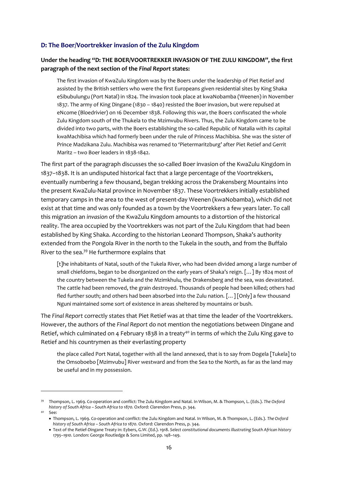#### <span id="page-19-0"></span>**D: The Boer/Voortrekker invasion of the Zulu Kingdom**

### **Under the heading "D: THE BOER/VOORTREKKER INVASION OF THE ZULU KINGDOM", the first paragraph of the next section of the** *Final Report* **states:**

The first invasion of KwaZulu Kingdom was by the Boers under the leadership of Piet Retief and assisted by the British settlers who were the first Europeans given residential sites by King Shaka eSibubulungu (Port Natal) in 1824. The invasion took place at kwaNobamba (Weenen) in November 1837. The army of King Dingane (1830 – 1840) resisted the Boer invasion, but were repulsed at eNcome (Bloedrivier) on 16 December 1838. Following this war, the Boers confiscated the whole Zulu Kingdom south of the Thukela to the Mzimvubu Rivers. Thus, the Zulu Kingdom came to be divided into two parts, with the Boers establishing the so-called Republic of Natalia with its capital kwaMachibisa which had formerly been under the rule of Princess Machibisa. She was the sister of Prince Madzikana Zulu. Machibisa was renamed to 'Pietermaritzburg' after Piet Retief and Gerrit Maritz – two Boer leaders in 1838-1842.

The first part of the paragraph discusses the so-called Boer invasion of the KwaZulu Kingdom in 1837–1838. It is an undisputed historical fact that a large percentage of the Voortrekkers, eventually numbering a few thousand, began trekking across the Drakensberg Mountains into the present KwaZulu-Natal province in November 1837. These Voortrekkers initially established temporary camps in the area to the west of present-day Weenen (kwaNobamba), which did not exist at that time and was only founded as a town by the Voortrekkers a few years later. To call this migration an *invasion* of the KwaZulu Kingdom amounts to a distortion of the historical reality. The area occupied by the Voortrekkers was not part of the Zulu Kingdom that had been established by King Shaka. According to the historian Leonard Thompson, Shaka's authority extended from the Pongola River in the north to the Tukela in the south, and from the Buffalo River to the sea.<sup>39</sup> He furthermore explains that

[t]he inhabitants of Natal, south of the Tukela River, who had been divided among a large number of small chiefdoms, began to be disorganized on the early years of Shaka's reign. […] By 1824 most of the country between the Tukela and the Mzimkhulu, the Drakensberg and the sea, was devastated. The cattle had been removed, the grain destroyed. Thousands of people had been killed; others had fled further south; and others had been absorbed into the Zulu nation. […] [Only] a few thousand Nguni maintained some sort of existence in areas sheltered by mountains or bush.

The *Final Report* correctly states that Piet Retief was at that time the leader of the Voortrekkers. However, the authors of the *Final Report* do not mention the negotiations between Dingane and Retief, which culminated on 4 February 1838 in a treaty<sup>40</sup> in terms of which the Zulu King gave to Retief and his countrymen as their everlasting property

the place called Port Natal, together with all the land annexed, that is to say from Dogela [Tukela] to the Omsoboebo [Mzimvubu] River westward and from the Sea to the North, as far as the land may be useful and in my possession.

<sup>39</sup> Thompson, L. 1969. Co-operation and conflict: The Zulu Kingdom and Natal. In Wilson, M. & Thompson, L. (Eds.). *The Oxford history of South Africa – South Africa to 1870.* Oxford: Clarendon Press, p. 344.

<sup>40</sup> See:

<sup>•</sup> Thompson, L. 1969. Co-operation and conflict: the Zulu Kingdom and Natal. In Wilson, M. & Thompson, L. (Eds.). *The Oxford history of South Africa – South Africa to 1870.* Oxford: Clarendon Press, p. 344.

<sup>•</sup> Text of the Retief-Dingane Treaty in: Eybers, G.W. (Ed.). 1918. *Select constitutional documents illustrating South African history 1795–1910.* London: George Routledge & Sons Limited, pp. 148–149.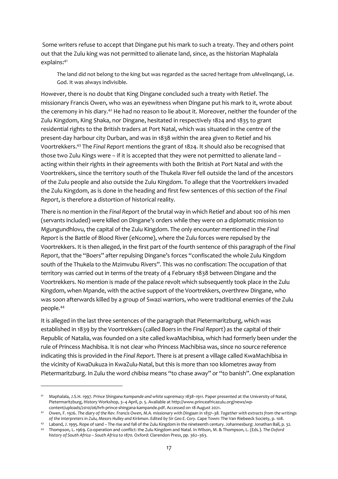Some writers refuse to accept that Dingane put his mark to such a treaty. They and others point out that the Zulu king was not permitted to alienate land, since, as the historian Maphalala explains:<sup>41</sup>

The land did not belong to the king but was regarded as the sacred heritage from uMvelinqangi, i.e. God. It was always indivisible.

However, there is no doubt that King Dingane concluded such a treaty with Retief. The missionary Francis Owen, who was an eyewitness when Dingane put his mark to it, wrote about the ceremony in his diary.<sup>42</sup> He had no reason to lie about it. Moreover, neither the founder of the Zulu Kingdom, King Shaka, nor Dingane, hesitated in respectively 1824 and 1835 to grant residential rights to the British traders at Port Natal, which was situated in the centre of the present-day harbour city Durban, and was in 1838 within the area given to Retief and his Voortrekkers.<sup>43</sup> The *Final Report* mentions the grant of 1824. It should also be recognised that those two Zulu Kings were – if it is accepted that they were not permitted to alienate land – acting within their rights in their agreements with both the British at Port Natal and with the Voortrekkers, since the territory south of the Thukela River fell outside the land of the ancestors of the Zulu people and also outside the Zulu Kingdom. To allege that the Voortrekkers invaded the Zulu Kingdom, as is done in the heading and first few sentences of this section of the *Final Report*, is therefore a distortion of historical reality.

There is no mention in the *Final Report* of the brutal way in which Retief and about 100 of his men (servants included) were killed on Dingane's orders while they were on a diplomatic mission to Mgungundhlovu, the capital of the Zulu Kingdom. The only encounter mentioned in the *Final Report* is the Battle of Blood River (eNcome), where the Zulu forces were repulsed by the Voortrekkers. It is then alleged, in the first part of the fourth sentence of this paragraph of the *Final Report*, that the "Boers" after repulsing Dingane's forces "confiscated the whole Zulu Kingdom south of the Thukela to the Mzimvubu Rivers". This was no confiscation: The occupation of that territory was carried out in terms of the treaty of 4 February 1838 between Dingane and the Voortrekkers. No mention is made of the palace revolt which subsequently took place in the Zulu Kingdom, when Mpande, with the active support of the Voortrekkers, overthrew Dingane, who was soon afterwards killed by a group of Swazi warriors, who were traditional enemies of the Zulu people.<sup>44</sup>

It is alleged in the last three sentences of the paragraph that Pietermaritzburg, which was established in 1839 by the Voortrekkers (called *Boers* in the *Final Report*) as the capital of their Republic of Natalia, was founded on a site called kwaMachibisa, which had formerly been under the rule of Princess Machibisa. It is not clear who Princess Machibisa was, since no source reference indicating this is provided in the *Final Report*. There is at present a village called KwaMachibisa in the vicinity of KwaDukuza in KwaZulu-Natal, but this is more than 100 kilometres away from Pietermaritzburg. In Zulu the word *chibisa* means "to chase away" or "to banish". One explanation

<sup>41</sup> Maphalala, J.S.H. 1997. *Prince Shingana Kampande and white supremacy 1838–1911*. Paper presented at the University of Natal, Pietermaritzburg, History Workshop, 3–4 April, p. 5. Available a[t http://www.princeafricazulu.org/news/wp](http://www.princeafricazulu.org/news/wp-content/uploads/2010/06/hrh-prince-shingana-kampande.pdf)[content/uploads/2010/06/hrh-prince-shingana-kampande.pdf.](http://www.princeafricazulu.org/news/wp-content/uploads/2010/06/hrh-prince-shingana-kampande.pdf) Accessed on 18 August 2021.

<sup>42</sup> Owen, F. 1926. *The diary of the Rev. Francis Owen, M.A. missionary with Dingaan in 1837–38. Together with extracts from the writings of the interpreters in Zulu, Messrs Hulley and Kirkman*. *Edited by Sir Geo E. Cory*. Cape Town: The Van Riebeeck Society, p. 108.

<sup>43</sup> Laband, J. 1995. Rope of sand – The rise and fall of the Zulu Kingdom in the nineteenth century. Johannesburg: Jonathan Ball, p. 32. <sup>44</sup> Thompson, L. 1969. Co-operation and conflict: the Zulu Kingdom and Natal. In Wilson, M. & Thompson, L. (Eds.). *The Oxford* 

*history of South Africa – South Africa to 1870.* Oxford: Clarendon Press, pp. 362–363.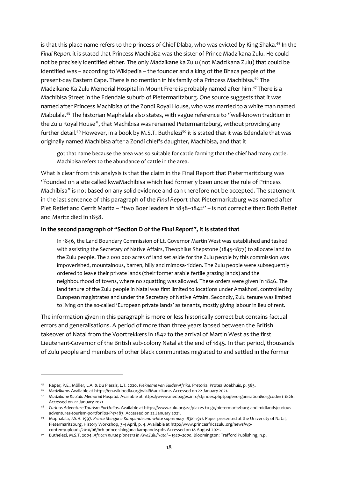is that this place name refers to the princess of Chief Dlaba, who was evicted by King Shaka.<sup>45</sup> In the *Final Report* it is stated that Princess Machibisa was the sister of Prince Madzikana Zulu. He could not be precisely identified either. The only Madzikane ka Zulu (not Madzikana Zulu) that could be identified was – according to Wikipedia – the founder and a king of the Bhaca people of the present-day Eastern Cape. There is no mention in his family of a Princess Machibisa.<sup>46</sup> The Madzikane Ka Zulu Memorial Hospital in Mount Frere is probably named after him.<sup>47</sup>There is a Machibisa Street in the Edendale suburb of Pietermaritzburg. One source suggests that it was named after Princess Machibisa of the Zondi Royal House, who was married to a white man named Mabulala.<sup>48</sup> The historian Maphalala also states, with vague reference to "well-known tradition in the Zulu Royal House", that Machibisa was renamed Pietermaritzburg, without providing any further detail.<sup>49</sup> However, in a book by M.S.T. Buthelezi<sup>50</sup> it is stated that it was Edendale that was originally named Machibisa after a Zondi chief's daughter, Machibisa, and that it

got that name because the area was so suitable for cattle farming that the chief had many cattle. Machibisa refers to the abundance of cattle in the area.

What is clear from this analysis is that the claim in the Final Report that Pietermaritzburg was "founded on a site called kwaMachibisa which had formerly been under the rule of Princess Machibisa" is not based on any solid evidence and can therefore not be accepted. The statement in the last sentence of this paragraph of the *Final Report* that Pietermaritzburg was named after Piet Retief and Gerrit Maritz – "two Boer leaders in 1838–1842" – is not correct either: Both Retief and Maritz died in 1838.

#### **In the second paragraph of "Section D of the** *Final Report***", it is stated that**

In 1846, the Land Boundary Commission of Lt. Governor Martin West was established and tasked with assisting the Secretary of Native Affairs, Theophilus Shepstone (1845-1877) to allocate land to the Zulu people. The 2 000 000 acres of land set aside for the Zulu people by this commission was impoverished, mountainous, barren, hilly and mimosa-ridden. The Zulu people were subsequently ordered to leave their private lands (their former arable fertile grazing lands) and the neighbourhood of towns, where no squatting was allowed. These orders were given in 1846. The land tenure of the Zulu people in Natal was first limited to locations under Amakhosi, controlled by European magistrates and under the Secretary of Native Affairs. Secondly, Zulu tenure was limited to living on the so-called 'European private lands' as tenants, mostly giving labour in lieu of rent.

The information given in this paragraph is more or less historically correct but contains factual errors and generalisations. A period of more than three years lapsed between the British takeover of Natal from the Voortrekkers in 1842 to the arrival of Martin West as the first Lieutenant-Governor of the British sub-colony Natal at the end of 1845. In that period, thousands of Zulu people and members of other black communities migrated to and settled in the former

<sup>45</sup> Raper, P.E., Möller, L.A. & Du Plessis, L.T. 2020. *Plekname van Suider-Afrika.* Pretoria: Protea Boekhuis, p. 385.

<sup>46</sup> *Madzikane*. Available a[t https://en.wikipedia.org/wiki/Madzikane.](https://en.wikipedia.org/wiki/Madzikane) Accessed on 22 January 2021.

<sup>47</sup> *Madzikane Ka Zulu Memorial Hospital*. Available a[t https://www.medpages.info/sf/index.php?page=organisation&orgcode=111826.](https://www.medpages.info/sf/index.php?page=organisation&orgcode=111826)  Accessed on 22 January 2021.

<sup>48</sup> *Curious Adventure Tourism Portfolios*. Available a[t https://www.zulu.org.za/places-to-go/pietermaritzburg-and-midlands/curious](https://www.zulu.org.za/places-to-go/pietermaritzburg-and-midlands/curious-adventures-tourism-portforlios-P47483)[adventures-tourism-portforlios-P47483.](https://www.zulu.org.za/places-to-go/pietermaritzburg-and-midlands/curious-adventures-tourism-portforlios-P47483) Accessed on 22 January 2021.

<sup>49</sup> Maphalala, J.S.H. 1997*. Prince Shingana Kampande and white supremacy 1838–1911.* Paper presented at the University of Natal, Pietermaritzburg, History Workshop, 3-4 April, p. 4. Available a[t http://www.princeafricazulu.org/news/wp](http://www.princeafricazulu.org/news/wp-content/uploads/2010/06/hrh-prince-shingana-kampande.pdf)[content/uploads/2010/06/hrh-prince-shingana-kampande.pdf.](http://www.princeafricazulu.org/news/wp-content/uploads/2010/06/hrh-prince-shingana-kampande.pdf) Accessed on 18 August 2021.

<sup>50</sup> [Buthelezi,](https://www.google.co.za/search?tbo=p&tbm=bks&q=inauthor:%22Mazo+Sybil+T.+Buthelezi%22) M.S.T. 2004. *African nurse pioneers in KwaZulu/Natal – 1920–2000.* Bloomington: Trafford Publishing, n.p.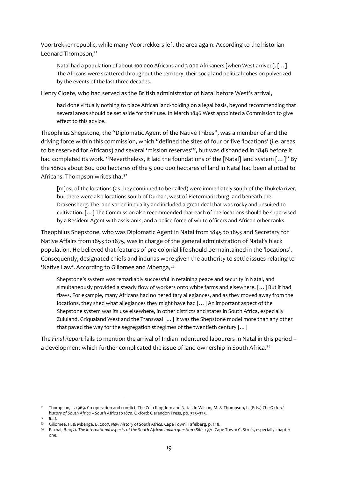Voortrekker republic, while many Voortrekkers left the area again. According to the historian Leonard Thompson,<sup>51</sup>

Natal had a population of about 100 000 Africans and 3 000 Afrikaners [when West arrived]. […] The Africans were scattered throughout the territory, their social and political cohesion pulverized by the events of the last three decades.

Henry Cloete, who had served as the British administrator of Natal before West's arrival,

had done virtually nothing to place African land-holding on a legal basis, beyond recommending that several areas should be set aside for their use. In March 1846 West appointed a Commission to give effect to this advice.

Theophilus Shepstone, the "Diplomatic Agent of the Native Tribes", was a member of and the driving force within this commission, which "defined the sites of four or five 'locations' (i.e. areas to be reserved for Africans) and several 'mission reserves'", but was disbanded in 1848 before it had completed its work. "Nevertheless, it laid the foundations of the [Natal] land system [...]" By the 1860s about 800 000 hectares of the 5 000 000 hectares of land in Natal had been allotted to Africans. Thompson writes that<sup>52</sup>

[m]ost of the locations (as they continued to be called) were immediately south of the Thukela river, but there were also locations south of Durban, west of Pietermaritzburg, and beneath the Drakensberg. The land varied in quality and included a great deal that was rocky and unsuited to cultivation. […] The Commission also recommended that each of the locations should be supervised by a Resident Agent with assistants, and a police force of white officers and African other ranks.

Theophilus Shepstone, who was Diplomatic Agent in Natal from 1845 to 1853 and Secretary for Native Affairs from 1853 to 1875, was in charge of the general administration of Natal's black population. He believed that features of pre-colonial life should be maintained in the 'locations'. Consequently, designated chiefs and indunas were given the authority to settle issues relating to 'Native Law'. According to Giliomee and Mbenga,<sup>53</sup>

Shepstone's system was remarkably successful in retaining peace and security in Natal, and simultaneously provided a steady flow of workers onto white farms and elsewhere. […] But it had flaws. For example, many Africans had no hereditary allegiances, and as they moved away from the locations, they shed what allegiances they might have had […] An important aspect of the Shepstone system was its use elsewhere, in other districts and states in South Africa, especially Zululand, Griqualand West and the Transvaal […] It was the Shepstone model more than any other that paved the way for the segregationist regimes of the twentieth century […]

The *Final Report* fails to mention the arrival of Indian indentured labourers in Natal in this period – a development which further complicated the issue of land ownership in South Africa.<sup>54</sup>

<sup>51</sup> Thompson, L. 1969. Co-operation and conflict: The Zulu Kingdom and Natal. In Wilson, M. & Thompson, L. (Eds.) *The Oxford history of South Africa – South Africa to 1870.* Oxford: Clarendon Press, pp. 373–375.

*<sup>52</sup> Ibid.* 

<sup>53</sup> Giliomee, H. & Mbenga, B. 2007. *New history of South Africa.* Cape Town: Tafelberg*,* p. 148.

<sup>54</sup> Pachai, B. 1971. *The international aspects of the South African Indian question 1860–1971*. Cape Town: C. Struik, especially chapter one.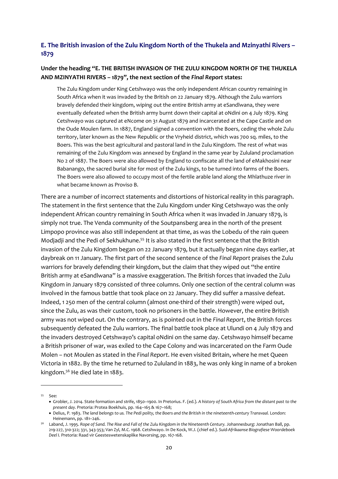## <span id="page-23-0"></span>**E. The British invasion of the Zulu Kingdom North of the Thukela and Mzinyathi Rivers – 1879**

## **Under the heading "E. THE BRITISH INVASION OF THE ZULU KINGDOM NORTH OF THE THUKELA AND MZINYATHI RIVERS – 1879", the next section of the** *Final Report* **states:**

The Zulu Kingdom under King Cetshwayo was the only independent African country remaining in South Africa when it was invaded by the British on 22 January 1879. Although the Zulu warriors bravely defended their kingdom, wiping out the entire British army at eSandlwana, they were eventually defeated when the British army burnt down their capital at oNdini on 4 July 1879. King Cetshwayo was captured at eNcome on 31 August 1879 and incarcerated at the Cape Castle and on the Oude Moulen farm. In 1887, England signed a convention with the Boers, ceding the whole Zulu territory, later known as the New Republic or the Vryheid district, which was 700 sq. miles, to the Boers. This was the best agricultural and pastoral land in the Zulu Kingdom. The rest of what was remaining of the Zulu Kingdom was annexed by England in the same year by Zululand proclamation No 2 of 1887. The Boers were also allowed by England to confiscate all the land of eMakhosini near Babanango, the sacred burial site for most of the Zulu kings, to be turned into farms of the Boers. The Boers were also allowed to occupy most of the fertile arable land along the Mhlathuze river in what became known as Proviso B.

There are a number of incorrect statements and distortions of historical reality in this paragraph. The statement in the first sentence that the Zulu Kingdom under King Cetshwayo was the only independent African country remaining in South Africa when it was invaded in January 1879, is simply not true. The Venda community of the Soutpansberg area in the north of the present Limpopo province was also still independent at that time, as was the Lobedu of the rain queen Modjadji and the Pedi of Sekhukhune.<sup>55</sup> It is also stated in the first sentence that the British invasion of the Zulu Kingdom began on 22 January 1879, but it actually began nine days earlier, at daybreak on 11 January. The first part of the second sentence of the *Final Report* praises the Zulu warriors for bravely defending their kingdom, but the claim that they wiped out "the entire British army at eSandlwana" is a massive exaggeration. The British forces that invaded the Zulu Kingdom in January 1879 consisted of three columns. Only one section of the central column was involved in the famous battle that took place on 22 January. They did suffer a massive defeat. Indeed, 1 250 men of the central column (almost one-third of their strength) were wiped out, since the Zulu, as was their custom, took no prisoners in the battle. However, the entire British army was not wiped out. On the contrary, as is pointed out in the *Final Report*, the British forces subsequently defeated the Zulu warriors. The final battle took place at Ulundi on 4 July 1879 and the invaders destroyed Cetshwayo's capital oNdini on the same day. Cetshwayo himself became a British prisoner of war, was exiled to the Cape Colony and was incarcerated on the Farm Oude Molen – not Moulen as stated in the *Final Report*. He even visited Britain, where he met Queen Victoria in 1882. By the time he returned to Zululand in 1883, he was only king in name of a broken kingdom.<sup>56</sup> He died late in 1883.

<sup>55</sup> See:

<sup>•</sup> Grobler, J. 2014. State formation and strife, 1850–1900. In Pretorius. F. (ed.). *A history of South Africa from the distant past to the present day.* Pretoria: Protea Boekhuis, pp. 164–165 & 167–168;

<sup>•</sup> Delius, P. 1983. *The land belongs to us. The Pedi polity, the Boers and the British in the nineteenth-century Transvaal.* London: Heinemann, pp. 181–246.

<sup>56</sup> Laband, J. 1995. *Rope of Sand. The Rise and Fall of the Zulu Kingdom in the Nineteenth Century.* Johannesburg: Jonathan Ball, pp. 219-227, 310-322; 331, 343-353; Van Zyl, M.C. 1968. Cetshwayo. In De Kock, W.J. (chief ed.). *Suid-Afrikaanse Biografiese Woordeboek Deel I.* Pretoria: Raad vir Geesteswetenskaplike Navorsing, pp. 167-168.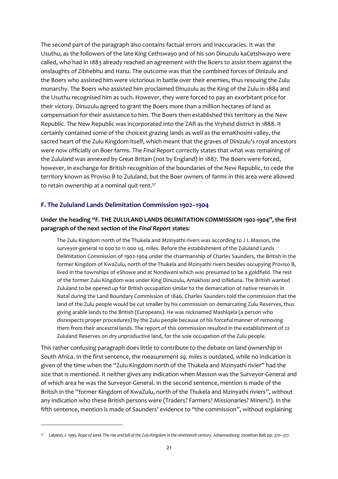The second part of the paragraph also contains factual errors and inaccuracies. It was the Usuthu, as the followers of the late King Cethswayo and of his son Dinuzulu kaCetshwayo were called, who had in 1883 already reached an agreement with the Boers to assist them against the onslaughts of Zibhebhu and Hanu. The outcome was that the combined forces of Dinizulu and the Boers who assisted him were victorious in battle over their enemies, thus rescuing the Zulu monarchy. The Boers who assisted him proclaimed Dinuzulu as the King of the Zulu in 1884 and the Usuthu recognised him as such. However, they were forced to pay an exorbitant price for their victory. Dinuzulu agreed to grant the Boers more than a million hectares of land as compensation for their assistance to him. The Boers then established this territory as the New Republic. The New Republic was incorporated into the ZAR as the Vryheid district in 1888. It certainly contained some of the choicest grazing lands as well as the emaKhosini valley, the sacred heart of the Zulu Kingdom itself, which meant that the graves of Dinizulu's royal ancestors were now officially on Boer farms. The *Final Report* correctly states that what was remaining of the Zululand was annexed by Great Britain (not by England) in 1887. The Boers were forced, however, in exchange for British recognition of the boundaries of the New Republic, to cede the territory known as Proviso B to Zululand, but the Boer owners of farms in this area were allowed to retain ownership at a nominal quit rent.<sup>57</sup>

#### <span id="page-24-0"></span>**F. The Zululand Lands Delimitation Commission 1902–1904**

### **Under the heading "F. THE ZULULAND LANDS DELIMITATION COMMISSION 1902-1904", the first paragraph of the next section of the** *Final Report* **states:**

The Zulu Kingdom north of the Thukela and Mzinyathi rivers was according to J L Masson, the surveyor-general 10 000 to 11 000 sq. miles. Before the establishment of the Zululand Lands Delimitation Commission of 1902-1904 under the chairmanship of Charles Saunders, the British in the former Kingdom of KwaZulu, north of the Thukela and Mzinyathi rivers besides occupying Proviso B, lived in the townships of eShowe and at Nondweni which was presumed to be a goldfield. The rest of the former Zulu Kingdom was under King Dinuzulu, Amakhosi and iziNduna. The British wanted Zululand to be opened up for British occupation similar to the demarcation of native reserves in Natal during the Land Boundary Commission of 1846. Charles Saunders told the commission that the land of the Zulu people would be cut smaller by his commission on demarcating Zulu Reserves, thus giving arable lands to the British (Europeans). He was nicknamed Mashiqela (a person who disrespects proper procedures) by the Zulu people because of his forceful manner of removing them from their ancestral lands. The report of this commission resulted in the establishment of 22 Zululand Reserves on dry unproductive land, for the sole occupation of the Zulu people.

This rather confusing paragraph does little to contribute to the debate on land ownership in South Africa. In the first sentence, the measurement *sq. miles* is outdated, while no indication is given of the time when the "Zulu Kingdom north of the Thukela and Mzinyathi rivier" had the size that is mentioned. It neither gives any indication when Masson was the Surveyor-General and of which area he was the Surveyor-General. In the second sentence, mention is made of the British in the "former Kingdom of KwaZulu, north of the Thukela and Mzinyathi riviers", without any indication who these British persons were (Traders? Farmers? Missionaries? Miners?). In the fifth sentence, mention is made of Saunders' evidence to "the commission", without explaining

<sup>57</sup> Laband, J. 1995. *Rope of sand. The rise and fall of the Zulu Kingdom in the nineteenth century.* Johannesburg: Jonathan Ball, pp. 370–377.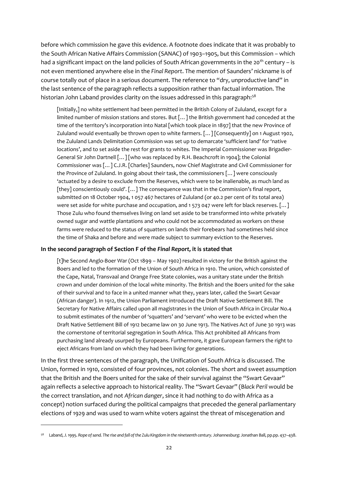before which commission he gave this evidence. A footnote does indicate that it was probably to the South African Native Affairs Commission (SANAC) of 1903–1905, but this Commission – which had a significant impact on the land policies of South African governments in the 20<sup>th</sup> century – is not even mentioned anywhere else in the *Final Report*. The mention of Saunders' nickname is of course totally out of place in a serious document. The reference to "dry, unproductive land" in the last sentence of the paragraph reflects a supposition rather than factual information. The historian John Laband provides clarity on the issues addressed in this paragraph:<sup>58</sup>

[Initially,] no white settlement had been permitted in the British Colony of Zululand, except for a limited number of mission stations and stores. But […] the British government had conceded at the time of the territory's incorporation into Natal [which took place in 1897] that the new Province of Zululand would eventually be thrown open to white farmers. […] [Consequently] on 1 August 1902, the Zululand Lands Delimitation Commission was set up to demarcate 'sufficient land' for 'native locations', and to set aside the rest for grants to whites. The Imperial Commissioner was Brigadier-General Sir John Dartnell […] [who was replaced by R.H. Beachcroft in 1904]; the Colonial Commissioner was […] C.J.R. [Charles] Saunders, now Chief Magistrate and Civil Commissioner for the Province of Zululand. In going about their task, the commissioners […] were consciously 'actuated by a desire to exclude from the Reserves, which were to be inalienable, as much land as [they] conscientiously could'. [...] The consequence was that in the Commission's final report, submitted on 18 October 1904, 1 057 467 hectares of Zululand (or 40.2 per cent of its total area) were set aside for white purchase and occupation, and 1 573 047 were left for black reserves. [...] Those Zulu who found themselves living on land set aside to be transformed into white privately owned sugar and wattle plantations and who could not be accommodated as workers on these farms were reduced to the status of squatters on lands their forebears had sometimes held since the time of Shaka and before and were made subject to summary eviction to the Reserves.

#### **In the second paragraph of Section F of the** *Final Report,* **it is stated that**

[t]he Second Anglo-Boer War (Oct 1899 – May 1902) resulted in victory for the British against the Boers and led to the formation of the Union of South Africa in 1910. The union, which consisted of the Cape, Natal, Transvaal and Orange Free State colonies, was a unitary state under the British crown and under dominion of the local white minority. The British and the Boers united for the sake of their survival and to face in a united manner what they, years later, called the Swart Gevaar (African danger). In 1912, the Union Parliament introduced the Draft Native Settlement Bill. The Secretary for Native Affairs called upon all magistrates in the Union of South Africa in Circular No.4 to submit estimates of the number of 'squatters' and 'servant' who were to be evicted when the Draft Native Settlement Bill of 1912 became law on 30 June 1913. The Natives Act of June 30 1913 was the cornerstone of territorial segregation in South Africa. This Act prohibited all Africans from purchasing land already usurped by Europeans. Furthermore, it gave European farmers the right to eject Africans from land on which they had been living for generations.

In the first three sentences of the paragraph, the Unification of South Africa is discussed. The Union, formed in 1910, consisted of four provinces, not colonies. The short and sweet assumption that the British and the Boers united for the sake of their survival against the "Swart Gevaar" again reflects a selective approach to historical reality. The "Swart Gevaar" (B*lack Peril* would be the correct translation, and not *African danger*, since it had nothing to do with Africa as a concept) notion surfaced during the political campaigns that preceded the general parliamentary elections of 1929 and was used to warn white voters against the threat of miscegenation and

<sup>58</sup> Laband, J. 1995. *Rope of sand. The rise and fall of the Zulu Kingdom in the nineteenth century.* Johannesburg: Jonathan Ball, pp.pp. 437–438.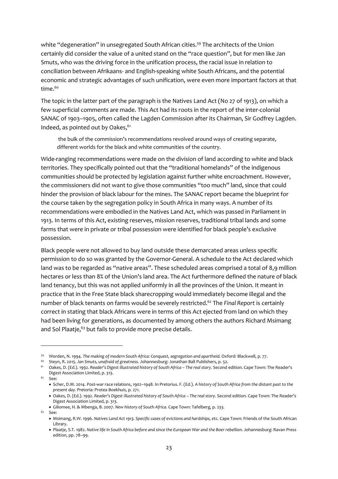white "degeneration" in unsegregated South African cities.<sup>59</sup> The architects of the Union certainly did consider the value of a united stand on the "race question", but for men like Jan Smuts, who was the driving force in the unification process, the racial issue in relation to conciliation between Afrikaans- and English-speaking white South Africans, and the potential economic and strategic advantages of such unification, were even more important factors at that time.<sup>60</sup>

The topic in the latter part of the paragraph is the Natives Land Act (No 27 of 1913), on which a few superficial comments are made. This Act had its roots in the report of the inter-colonial SANAC of 1903–1905, often called the Lagden Commission after its Chairman, Sir Godfrey Lagden. Indeed, as pointed out by Oakes, 61

the bulk of the commission's recommendations revolved around ways of creating separate, different worlds for the black and white communities of the country.

Wide-ranging recommendations were made on the division of land according to white and black territories. They specifically pointed out that the "traditional homelands" of the indigenous communities should be protected by legislation against further white encroachment. However, the commissioners did not want to give those communities "too much" land, since that could hinder the provision of black labour for the mines. The SANAC report became the blueprint for the course taken by the segregation policy in South Africa in many ways. A number of its recommendations were embodied in the Natives Land Act, which was passed in Parliament in 1913. In terms of this Act, existing reserves, mission reserves, traditional tribal lands and some farms that were in private or tribal possession were identified for black people's exclusive possession.

Black people were not allowed to buy land outside these demarcated areas unless specific permission to do so was granted by the Governor-General. A schedule to the Act declared which land was to be regarded as "native areas". These scheduled areas comprised a total of 8,9 million hectares or less than 8% of the Union's land area. The Act furthermore defined the nature of black land tenancy, but this was not applied uniformly in all the provinces of the Union. It meant in practice that in the Free State black sharecropping would immediately become illegal and the number of black tenants on farms would be severely restricted.<sup>62</sup> The *Final Report* is certainly correct in stating that black Africans were in terms of this Act ejected from land on which they had been living for generations, as documented by among others the authors Richard Msimang and Sol Plaatje,<sup>63</sup> but fails to provide more precise details.

<sup>59</sup> Worden, N. 1994. *The making of modern South Africa: Conquest, segregation and apartheid.* Oxford: Blackwell, p. 77.

<sup>60</sup> Steyn, R. 2015. *Jan Smuts, unafraid of greatness.* Johannesburg: Jonathan Ball Publishers, p. 52.

<sup>61</sup> Oakes, D. (Ed.). 1992. *Reader's Digest illustrated history of South Africa – The real story.* Second edition. Cape Town: The Reader's Digest Association Limited, p. 313.

 $62$  See:

<sup>•</sup> Scher, D.M. 2014. Post-war race relations, 1902–1948. In Pretorius. F. (Ed.). *A history of South Africa from the distant past to the present day.* Pretoria: Protea Boekhuis, p. 271.

<sup>•</sup> Oakes, D. (Ed.). 1992. *Reader's Digest illustrated history of South Africa – The real story.* Second edition. Cape Town: The Reader's Digest Association Limited, p. 313.

<sup>•</sup> Giliomee, H. & Mbenga, B. 2007. *New history of South Africa.* Cape Town: Tafelberg*,* p. 233.

<sup>63</sup> See:

<sup>•</sup> Msimang, R.W. 1996. *Natives Land Act 1913. Specific cases of evictions and hardships, etc.* Cape Town: Friends of the South African Library.

<sup>•</sup> Plaatje, S.T. 1982. *Native life in South Africa before and since the European War and the Boer rebellion.* Johannesburg: Ravan Press edition, pp. 78–99.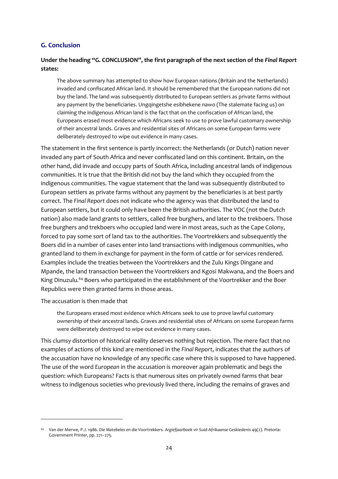## <span id="page-27-0"></span>**G. Conclusion**

#### **Under the heading "G. CONCLUSION", the first paragraph of the next section of the** *Final Report* **states:**

The above summary has attempted to show how European nations (Britain and the Netherlands) invaded and confiscated African land. It should be remembered that the European nations did not buy the land. The land was subsequently distributed to European settlers as private farms without any payment by the beneficiaries. Ungqingetshe esibhekene nawo (The stalemate facing us) on claiming the indigenous African land is the fact that on the confiscation of African land, the Europeans erased most evidence which Africans seek to use to prove lawful customary ownership of their ancestral lands. Graves and residential sites of Africans on some European farms were deliberately destroyed to wipe out evidence in many cases.

The statement in the first sentence is partly incorrect: the Netherlands (or Dutch) nation never invaded any part of South Africa and never confiscated land on this continent. Britain, on the other hand, did invade and occupy parts of South Africa, including ancestral lands of indigenous communities. It is true that the British did not buy the land which they occupied from the indigenous communities. The vague statement that the land was subsequently distributed to European settlers as private farms without any payment by the beneficiaries is at best partly correct. The *Final Report* does not indicate who the agency was that distributed the land to European settlers, but it could only have been the British authorities. The VOC (not the Dutch nation) also made land grants to settlers, called free burghers, and later to the trekboers. Those free burghers and trekboers who occupied land were in most areas, such as the Cape Colony, forced to pay some sort of land tax to the authorities. The Voortrekkers and subsequently the Boers did in a number of cases enter into land transactions with indigenous communities, who granted land to them in exchange for payment in the form of cattle or for services rendered. Examples include the treaties between the Voortrekkers and the Zulu Kings Dingane and Mpande, the land transaction between the Voortrekkers and Kgosi Makwana, and the Boers and King Dinuzulu.<sup>64</sup> Boers who participated in the establishment of the Voortrekker and the Boer Republics were then granted farms in those areas.

The accusation is then made that

the Europeans erased most evidence which Africans seek to use to prove lawful customary ownership of their ancestral lands. Graves and residential sites of Africans on some European farms were deliberately destroyed to wipe out evidence in many cases.

This clumsy distortion of historical reality deserves nothing but rejection. The mere fact that no examples of actions of this kind are mentioned in the *Final Report*, indicates that the authors of the accusation have no knowledge of any specific case where this is supposed to have happened. The use of the word *European* in the accusation is moreover again problematic and begs the question: which Europeans? Facts is that numerous sites on privately owned farms that bear witness to indigenous societies who previously lived there, including the remains of graves and

<sup>64</sup> Van der Merwe, P.J. 1986. *Die Matebeles en die Voortrekkers. Argiefjaarboek vir Suid-Afrikaanse Geskiedenis* 49(2). Pretoria: Government Printer, pp. 271–275.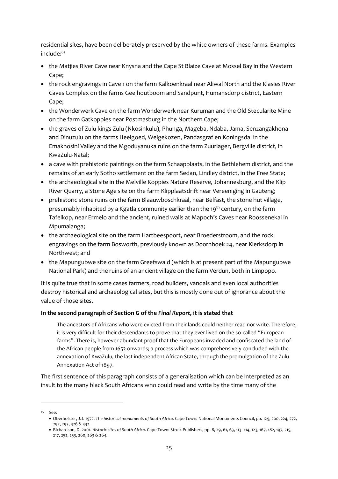residential sites, have been deliberately preserved by the white owners of these farms. Examples include:<sup>65</sup>

- the Matjies River Cave near Knysna and the Cape St Blaize Cave at Mossel Bay in the Western Cape;
- the rock engravings in Cave 1 on the farm Kalkoenkraal near Aliwal North and the Klasies River Caves Complex on the farms Geelhoutboom and Sandpunt, Humansdorp district, Eastern Cape;
- the Wonderwerk Cave on the farm Wonderwerk near Kuruman and the Old Stecularite Mine on the farm Gatkoppies near Postmasburg in the Northern Cape;
- the graves of Zulu kings Zulu (Nkosinkulu), Phunga, Mageba, Ndaba, Jama, Senzangakhona and Dinuzulu on the farms Heelgoed, Welgekozen, Pandasgraf en Koningsdal in the Emakhosini Valley and the Mgoduyanuka ruins on the farm Zuurlager, Bergville district, in KwaZulu-Natal;
- a cave with prehistoric paintings on the farm Schaapplaats, in the Bethlehem district, and the remains of an early Sotho settlement on the farm Sedan, Lindley district, in the Free State;
- the archaeological site in the Melville Koppies Nature Reserve, Johannesburg, and the Klip River Quarry, a Stone Age site on the farm Klipplaatsdrift near Vereeniging in Gauteng;
- prehistoric stone ruins on the farm Blaauwboschkraal, near Belfast, the stone hut village, presumably inhabited by a Kgatla community earlier than the 19th century, on the farm Tafelkop, near Ermelo and the ancient, ruined walls at Mapoch's Caves near Roossenekal in Mpumalanga;
- the archaeological site on the farm Hartbeespoort, near Broederstroom, and the rock engravings on the farm Bosworth, previously known as Doornhoek 24, near Klerksdorp in Northwest; and
- the Mapungubwe site on the farm Greefswald (which is at present part of the Mapungubwe National Park) and the ruins of an ancient village on the farm Verdun, both in Limpopo.

It is quite true that in some cases farmers, road builders, vandals and even local authorities destroy historical and archaeological sites, but this is mostly done out of ignorance about the value of those sites.

## **In the second paragraph of Section G of the** *Final Report,* **it is stated that**

The ancestors of Africans who were evicted from their lands could neither read nor write. Therefore, it is very difficult for their descendants to prove that they ever lived on the so-called "European farms". There is, however abundant proof that the Europeans invaded and confiscated the land of the African people from 1652 onwards; a process which was comprehensively concluded with the annexation of KwaZulu, the last independent African State, through the promulgation of the Zulu Annexation Act of 1897.

The first sentence of this paragraph consists of a generalisation which can be interpreted as an insult to the many black South Africans who could read and write by the time many of the

<sup>65</sup> See:

<sup>•</sup> Oberholster, J.J. 1972. *The historical monuments of South Africa.* Cape Town: National Monuments Council, pp. 129, 200, 224, 272, 292, 293, 326 & 332.

<sup>•</sup> Richardson, D. 2001. *Historic sites of South Africa.* Cape Town: Struik Publishers, pp. 8, 29, 61, 63, 113–114, 123, 167, 182, 197, 215, 217, 252, 253, 260, 263 & 264.